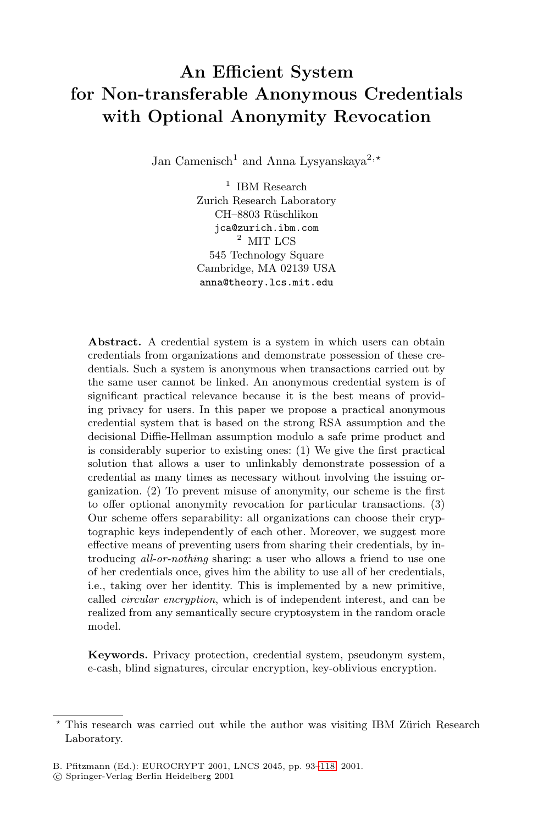# **An Efficient System for Non-transferable Anonymous Credentials with Optional Anonymity Revocation**

Jan Camenisch<sup>1</sup> and Anna Lysyanskaya<sup>2,\*</sup>

<sup>1</sup> IBM Research Zurich Research Laboratory CH-8803 Rüschlikon jca@zurich.ibm.com  $^{\rm 2}$  MIT LCS 545 Technology Square Cambridge, MA 02139 USA anna@theory.lcs.mit.edu

**Abstract.** A credential system is a system in which users can obtain credentials from organizations and demonstrate possession of these credentials. Such a system is anonymous when transactions carried out by the same user cannot be linked. An anonymous credential system is of significant practical relevance because it is the best means of providing privacy for users. In this paper we propose a practical anonymous credential system that is based on the strong RSA assumption and the decisional Diffie-Hellman assumption modulo a safe prime product and is considerably superior to existing ones: (1) We give the first practical solution that allows a user to unlinkably demonstrate possession of a credential as many times as necessary without involving the issuing organization. (2) To prevent misuse of anonymity, our scheme is the first to offer optional anonymity revocation for particular transactions. (3) Our scheme offers separability: all organizations can choose their cryptographic keys independently of each other. Moreover, we suggest more effective means of preventing users from sharing their credentials, by introducing all-or-nothing sharing: a user who allows a friend to use one of her credentials once, gives him the ability to use all of her credentials, i.e., taking over her identity. This is implemented by a new primitive, called circular encryption, which is of independent interest, and can be realized from any semantically secure cryptosystem in the random oracle model.

**Keywords.** Privacy protection, credential system, pseudonym system, e-cash, blind signatures, circular encryption, key-oblivious encryption.

 $^{\star}$  This research was carried out while the author was visiting IBM Zürich Research Laboratory.

B. Pfitzmann (Ed.): EUROCRYPT 2001, LNCS 2045, pp. 93–118, 2001.

c Springer-Verlag Berlin Heidelberg 2001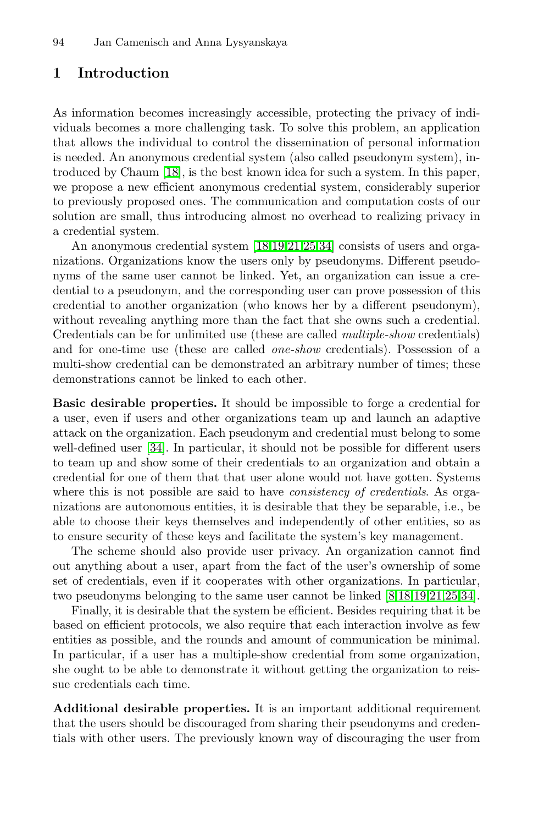# **1 Introduction**

As information becomes increasingly accessible, protecting the privacy of individuals becomes a more challenging task. To solve this problem, an application that allows the individual to control the dissemination of personal information is needed. An anonymous credential system (also called pseudonym system), introduced by Chaum [\[18\]](#page-24-0), is the best known idea for such a system. In this paper, we propose a new efficient anonymous credential system, considerably superior to previously proposed ones. The communication and computation costs of our solution are small, thus introducing almost no overhead to realizing privacy in a credential system.

An anonymous credential system [\[18,19,21,25](#page-24-0)[,34\]](#page-25-0) consists of users and organizations. Organizations know the users only by pseudonyms. Different pseudonyms of the same user cannot be linked. Yet, an organization can issue a credential to a pseudonym, and the corresponding user can prove possession of this credential to another organization (who knows her by a different pseudonym), without revealing anything more than the fact that she owns such a credential. Credentials can be for unlimited use (these are called multiple-show credentials) and for one-time use (these are called one-show credentials). Possession of a multi-show credential can be demonstrated an arbitrary number of times; these demonstrations cannot be linked to each other.

**Basic desirable properties.** It should be impossible to forge a credential for a user, even if users and other organizations team up and launch an adaptive attack on the organization. Each pseudonym and credential must belong to some well-defined user [\[34\]](#page-25-0). In particular, it should not be possible for different users to team up and show some of their credentials to an organization and obtain a credential for one of them that that user alone would not have gotten. Systems where this is not possible are said to have *consistency of credentials*. As organizations are autonomous entities, it is desirable that they be separable, i.e., be able to choose their keys themselves and independently of other entities, so as to ensure security of these keys and facilitate the system's key management.

The scheme should also provide user privacy. An organization cannot find out anything about a user, apart from the fact of the user's ownership of some set of credentials, even if it cooperates with other organizations. In particular, two pseudonyms belonging to the same user cannot be linked [\[8,18,19,21,25](#page-24-0)[,34\]](#page-25-0).

Finally, it is desirable that the system be efficient. Besides requiring that it be based on efficient protocols, we also require that each interaction involve as few entities as possible, and the rounds and amount of communication be minimal. In particular, if a user has a multiple-show credential from some organization, she ought to be able to demonstrate it without getting the organization to reissue credentials each time.

**Additional desirable properties.** It is an important additional requirement that the users should be discouraged from sharing their pseudonyms and credentials with other users. The previously known way of discouraging the user from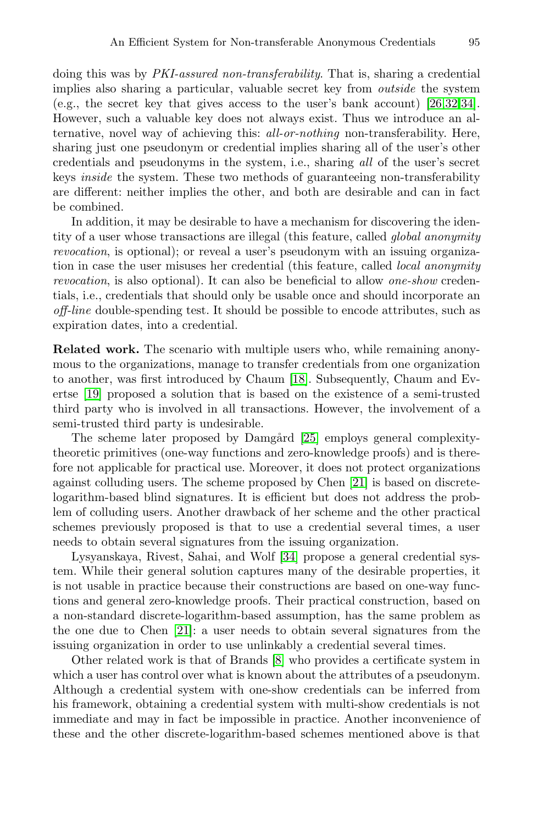doing this was by *PKI-assured non-transferability*. That is, sharing a credential implies also sharing a particular, valuable secret key from outside the system (e.g., the secret key that gives access to the user's bank account)  $[26.32.34]$ . However, such a valuable key does not always exist. Thus we introduce an alternative, novel way of achieving this: all-or-nothing non-transferability. Here, sharing just one pseudonym or credential implies sharing all of the user's other credentials and pseudonyms in the system, i.e., sharing all of the user's secret keys inside the system. These two methods of guaranteeing non-transferability are different: neither implies the other, and both are desirable and can in fact be combined.

In addition, it may be desirable to have a mechanism for discovering the identity of a user whose transactions are illegal (this feature, called global anonymity revocation, is optional); or reveal a user's pseudonym with an issuing organization in case the user misuses her credential (this feature, called *local anonymity* revocation, is also optional). It can also be beneficial to allow one-show credentials, i.e., credentials that should only be usable once and should incorporate an off-line double-spending test. It should be possible to encode attributes, such as expiration dates, into a credential.

**Related work.** The scenario with multiple users who, while remaining anonymous to the organizations, manage to transfer credentials from one organization to another, was first introduced by Chaum [\[18\]](#page-24-0). Subsequently, Chaum and Evertse [\[19\]](#page-24-0) proposed a solution that is based on the existence of a semi-trusted third party who is involved in all transactions. However, the involvement of a semi-trusted third party is undesirable.

The scheme later proposed by Damgård [\[25\]](#page-24-0) employs general complexitytheoretic primitives (one-way functions and zero-knowledge proofs) and is therefore not applicable for practical use. Moreover, it does not protect organizations against colluding users. The scheme proposed by Chen [\[21\]](#page-24-0) is based on discretelogarithm-based blind signatures. It is efficient but does not address the problem of colluding users. Another drawback of her scheme and the other practical schemes previously proposed is that to use a credential several times, a user needs to obtain several signatures from the issuing organization.

Lysyanskaya, Rivest, Sahai, and Wolf [\[34\]](#page-25-0) propose a general credential system. While their general solution captures many of the desirable properties, it is not usable in practice because their constructions are based on one-way functions and general zero-knowledge proofs. Their practical construction, based on a non-standard discrete-logarithm-based assumption, has the same problem as the one due to Chen [\[21\]](#page-24-0): a user needs to obtain several signatures from the issuing organization in order to use unlinkably a credential several times.

Other related work is that of Brands [\[8\]](#page-24-0) who provides a certificate system in which a user has control over what is known about the attributes of a pseudonym. Although a credential system with one-show credentials can be inferred from his framework, obtaining a credential system with multi-show credentials is not immediate and may in fact be impossible in practice. Another inconvenience of these and the other discrete-logarithm-based schemes mentioned above is that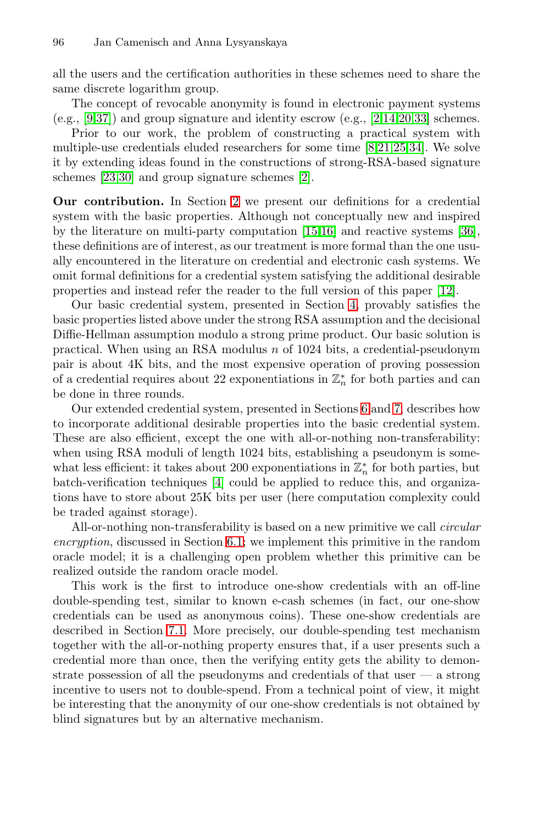all the users and the certification authorities in these schemes need to share the same discrete logarithm group.

The concept of revocable anonymity is found in electronic payment systems (e.g.,  $[9,37]$  $[9,37]$ ) and group signature and identity escrow (e.g.,  $[2,14,20,33]$  $[2,14,20,33]$  $[2,14,20,33]$  schemes.

Prior to our work, the problem of constructing a practical system with multiple-use credentials eluded researchers for some time [\[8,21,25](#page-24-0)[,34\]](#page-25-0). We solve it by extending ideas found in the constructions of strong-RSA-based signature schemes [\[23,](#page-24-0)[30\]](#page-25-0) and group signature schemes [\[2\]](#page-23-0).

**Our contribution.** In Section [2](#page-4-0) we present our definitions for a credential system with the basic properties. Although not conceptually new and inspired by the literature on multi-party computation [\[15,16\]](#page-24-0) and reactive systems [\[36\]](#page-25-0), these definitions are of interest, as our treatment is more formal than the one usually encountered in the literature on credential and electronic cash systems. We omit formal definitions for a credential system satisfying the additional desirable properties and instead refer the reader to the full version of this paper [\[12\]](#page-24-0).

Our basic credential system, presented in Section [4,](#page-7-0) provably satisfies the basic properties listed above under the strong RSA assumption and the decisional Diffie-Hellman assumption modulo a strong prime product. Our basic solution is practical. When using an RSA modulus  $n$  of 1024 bits, a credential-pseudonym pair is about 4K bits, and the most expensive operation of proving possession of a credential requires about 22 exponentiations in  $\mathbb{Z}_n^*$  for both parties and can be done in three rounds.

Our extended credential system, presented in Sections [6](#page-15-0) and [7,](#page-20-0) describes how to incorporate additional desirable properties into the basic credential system. These are also efficient, except the one with all-or-nothing non-transferability: when using RSA moduli of length 1024 bits, establishing a pseudonym is somewhat less efficient: it takes about 200 exponentiations in  $\mathbb{Z}_n^*$  for both parties, but batch-verification techniques [\[4\]](#page-23-0) could be applied to reduce this, and organizations have to store about 25K bits per user (here computation complexity could be traded against storage).

All-or-nothing non-transferability is based on a new primitive we call *circular* encryption, discussed in Section [6.1;](#page-16-0) we implement this primitive in the random oracle model; it is a challenging open problem whether this primitive can be realized outside the random oracle model.

This work is the first to introduce one-show credentials with an off-line double-spending test, similar to known e-cash schemes (in fact, our one-show credentials can be used as anonymous coins). These one-show credentials are described in Section [7.1.](#page-20-0) More precisely, our double-spending test mechanism together with the all-or-nothing property ensures that, if a user presents such a credential more than once, then the verifying entity gets the ability to demonstrate possession of all the pseudonyms and credentials of that user — a strong incentive to users not to double-spend. From a technical point of view, it might be interesting that the anonymity of our one-show credentials is not obtained by blind signatures but by an alternative mechanism.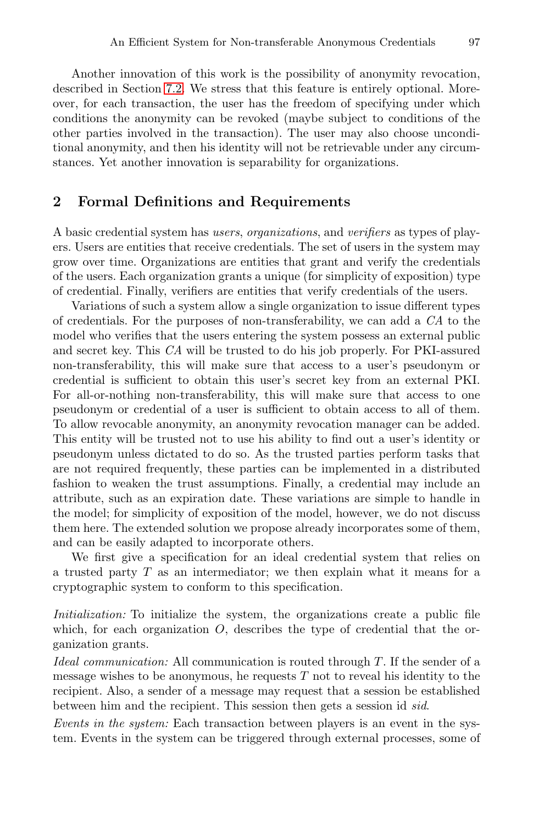<span id="page-4-0"></span>Another innovation of this work is the possibility of anonymity revocation, described in Section [7.2.](#page-21-0) We stress that this feature is entirely optional. Moreover, for each transaction, the user has the freedom of specifying under which conditions the anonymity can be revoked (maybe subject to conditions of the other parties involved in the transaction). The user may also choose unconditional anonymity, and then his identity will not be retrievable under any circumstances. Yet another innovation is separability for organizations.

# **2Formal Definitions and Requirements**

A basic credential system has users, organizations, and verifiers as types of players. Users are entities that receive credentials. The set of users in the system may grow over time. Organizations are entities that grant and verify the credentials of the users. Each organization grants a unique (for simplicity of exposition) type of credential. Finally, verifiers are entities that verify credentials of the users.

Variations of such a system allow a single organization to issue different types of credentials. For the purposes of non-transferability, we can add a CA to the model who verifies that the users entering the system possess an external public and secret key. This CA will be trusted to do his job properly. For PKI-assured non-transferability, this will make sure that access to a user's pseudonym or credential is sufficient to obtain this user's secret key from an external PKI. For all-or-nothing non-transferability, this will make sure that access to one pseudonym or credential of a user is sufficient to obtain access to all of them. To allow revocable anonymity, an anonymity revocation manager can be added. This entity will be trusted not to use his ability to find out a user's identity or pseudonym unless dictated to do so. As the trusted parties perform tasks that are not required frequently, these parties can be implemented in a distributed fashion to weaken the trust assumptions. Finally, a credential may include an attribute, such as an expiration date. These variations are simple to handle in the model; for simplicity of exposition of the model, however, we do not discuss them here. The extended solution we propose already incorporates some of them, and can be easily adapted to incorporate others.

We first give a specification for an ideal credential system that relies on a trusted party T as an intermediator; we then explain what it means for a cryptographic system to conform to this specification.

Initialization: To initialize the system, the organizations create a public file which, for each organization  $O$ , describes the type of credential that the organization grants.

Ideal communication: All communication is routed through T. If the sender of a message wishes to be anonymous, he requests  $T$  not to reveal his identity to the recipient. Also, a sender of a message may request that a session be established between him and the recipient. This session then gets a session id *sid*.

Events in the system: Each transaction between players is an event in the system. Events in the system can be triggered through external processes, some of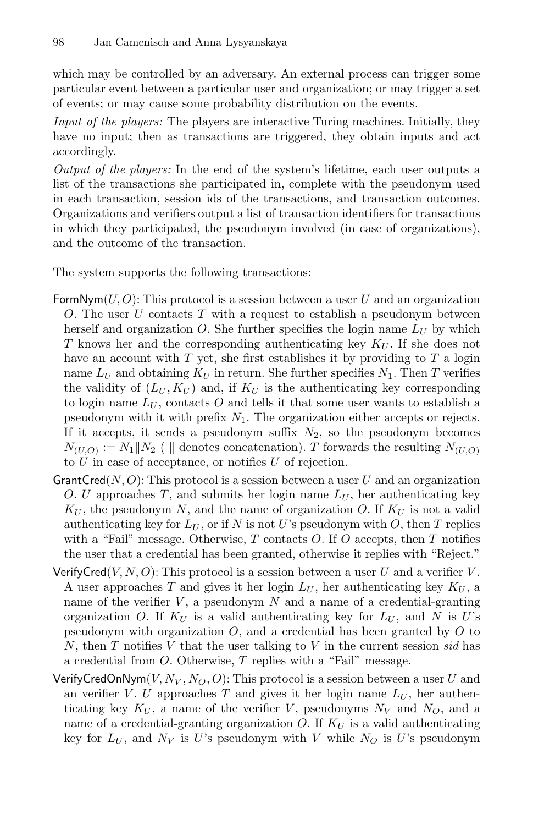which may be controlled by an adversary. An external process can trigger some particular event between a particular user and organization; or may trigger a set of events; or may cause some probability distribution on the events.

Input of the players: The players are interactive Turing machines. Initially, they have no input; then as transactions are triggered, they obtain inputs and act accordingly.

Output of the players: In the end of the system's lifetime, each user outputs a list of the transactions she participated in, complete with the pseudonym used in each transaction, session ids of the transactions, and transaction outcomes. Organizations and verifiers output a list of transaction identifiers for transactions in which they participated, the pseudonym involved (in case of organizations), and the outcome of the transaction.

The system supports the following transactions:

- FormNym $(U, O)$ : This protocol is a session between a user U and an organization O. The user U contacts  $T$  with a request to establish a pseudonym between herself and organization O. She further specifies the login name  $L_U$  by which T knows her and the corresponding authenticating key  $K_U$ . If she does not have an account with  $T$  yet, she first establishes it by providing to  $T$  a login name  $L_U$  and obtaining  $K_U$  in return. She further specifies  $N_1$ . Then T verifies the validity of  $(L_U, K_U)$  and, if  $K_U$  is the authenticating key corresponding to login name  $L_U$ , contacts O and tells it that some user wants to establish a pseudonym with it with prefix  $N_1$ . The organization either accepts or rejects. If it accepts, it sends a pseudonym suffix  $N_2$ , so the pseudonym becomes  $N_{(U,O)} := N_1||N_2$  (  $||$  denotes concatenation). T forwards the resulting  $N_{(U,O)}$ to  $U$  in case of acceptance, or notifies  $U$  of rejection.
- GrantCred $(N, O)$ : This protocol is a session between a user U and an organization O. U approaches T, and submits her login name  $L_U$ , her authenticating key  $K_U$ , the pseudonym N, and the name of organization O. If  $K_U$  is not a valid authenticating key for  $L_U$ , or if N is not U's pseudonym with O, then T replies with a "Fail" message. Otherwise,  $T$  contacts  $O$ . If  $O$  accepts, then  $T$  notifies the user that a credential has been granted, otherwise it replies with "Reject."
- VerifyCred(V, N, O): This protocol is a session between a user U and a verifier V. A user approaches T and gives it her login  $L_U$ , her authenticating key  $K_U$ , a name of the verifier  $V$ , a pseudonym  $N$  and a name of a credential-granting organization O. If  $K_U$  is a valid authenticating key for  $L_U$ , and N is U's pseudonym with organization  $O$ , and a credential has been granted by  $O$  to  $N$ , then  $T$  notifies  $V$  that the user talking to  $V$  in the current session sid has a credential from O. Otherwise, T replies with a "Fail" message.
- VerifyCredOnNym $(V,N_V,N_O, O)$ : This protocol is a session between a user  $U$  and an verifier V. U approaches T and gives it her login name  $L_U$ , her authenticating key  $K_U$ , a name of the verifier V, pseudonyms  $N_V$  and  $N_O$ , and a name of a credential-granting organization  $O$ . If  $K_U$  is a valid authenticating key for  $L_U$ , and  $N_V$  is U's pseudonym with V while  $N_O$  is U's pseudonym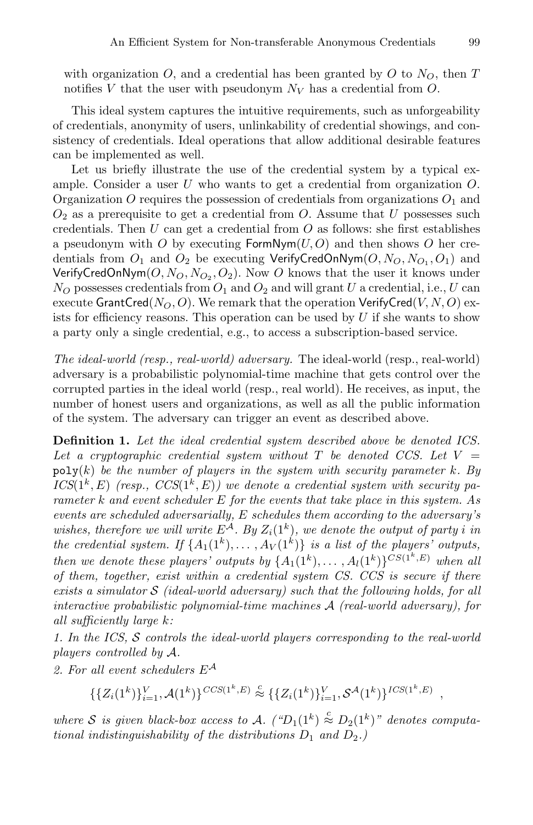<span id="page-6-0"></span>with organization O, and a credential has been granted by O to  $N_Q$ , then T notifies V that the user with pseudonym  $N_V$  has a credential from O.

This ideal system captures the intuitive requirements, such as unforgeability of credentials, anonymity of users, unlinkability of credential showings, and consistency of credentials. Ideal operations that allow additional desirable features can be implemented as well.

Let us briefly illustrate the use of the credential system by a typical example. Consider a user  $U$  who wants to get a credential from organization  $O$ . Organization O requires the possession of credentials from organizations  $O_1$  and  $O<sub>2</sub>$  as a prerequisite to get a credential from O. Assume that U possesses such credentials. Then  $U$  can get a credential from  $O$  as follows: she first establishes a pseudonym with O by executing  $\mathsf{FormNum}(U, O)$  and then shows O her credentials from  $O_1$  and  $O_2$  be executing VerifyCredOnNym $(O, N_O, N_{O_1}, O_1)$  and VerifyCredOnNym $(O, N_O, N_O, O_2)$ . Now O knows that the user it knows under  $N_Q$  possesses credentials from  $O_1$  and  $O_2$  and will grant U a credential, i.e., U can execute GrantCred( $N_O, O$ ). We remark that the operation VerifyCred( $V, N, O$ ) exists for efficiency reasons. This operation can be used by  $U$  if she wants to show a party only a single credential, e.g., to access a subscription-based service.

The ideal-world (resp., real-world) adversary. The ideal-world (resp., real-world) adversary is a probabilistic polynomial-time machine that gets control over the corrupted parties in the ideal world (resp., real world). He receives, as input, the number of honest users and organizations, as well as all the public information of the system. The adversary can trigger an event as described above.

**Definition 1.** Let the ideal credential system described above be denoted ICS. Let a cryptographic credential system without  $T$  be denoted CCS. Let  $V =$  $poly(k)$  be the number of players in the system with security parameter k. By  $ICS(1^k, E)$  (resp.,  $CCS(1^k, E)$ ) we denote a credential system with security parameter k and event scheduler E for the events that take place in this system. As events are scheduled adversarially, E schedules them according to the adversary's wishes, therefore we will write  $E^{\mathcal{A}}$ . By  $Z_i(1^k)$ , we denote the output of party i in the credential system. If  $\{A_1(1^k),\ldots,A_V(1^k)\}\$ is a list of the players' outputs, then we denote these players' outputs by  $\{A_1(1^k),\ldots,A_l(1^k)\}^{CS(1^k,E)}$  when all of them, together, exist within a credential system CS. CCS is secure if there exists a simulator  $\mathcal S$  (ideal-world adversary) such that the following holds, for all interactive probabilistic polynomial-time machines A (real-world adversary), for all sufficiently large k:

1. In the ICS, S controls the ideal-world players corresponding to the real-world players controlled by A.

2. For all event schedulers  $E^{\mathcal{A}}$ 

 $\{ \{Z_i(1^k)\}_{i=1}^V, \mathcal{A}(1^k) \}^{CCS(1^k, E)} \stackrel{c}{\approx} \{ \{Z_i(1^k)\}_{i=1}^V, \mathcal{S}^{\mathcal{A}}(1^k) \}^{ICS(1^k, E)}$ 

where S is given black-box access to A. (" $D_1(1^k) \stackrel{c}{\approx} D_2(1^k)$ " denotes computational indistinguishability of the distributions  $D_1$  and  $D_2$ .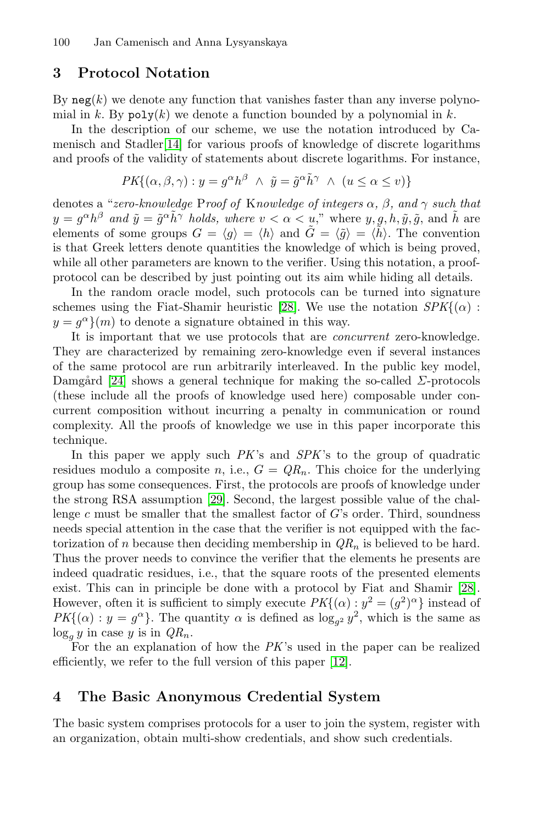# <span id="page-7-0"></span>**3 Protocol Notation**

By  $\text{neg}(k)$  we denote any function that vanishes faster than any inverse polynomial in k. By  $poly(k)$  we denote a function bounded by a polynomial in k.

In the description of our scheme, we use the notation introduced by Camenisch and Stadler[\[14\]](#page-24-0) for various proofs of knowledge of discrete logarithms and proofs of the validity of statements about discrete logarithms. For instance,

$$
PK\{(\alpha,\beta,\gamma): y = g^{\alpha}h^{\beta} \ \wedge \ \tilde{y} = \tilde{g}^{\alpha}\tilde{h}^{\gamma} \ \wedge \ (u \leq \alpha \leq v)\}\
$$

denotes a "zero-knowledge Proof of Knowledge of integers  $\alpha$ ,  $\beta$ , and  $\gamma$  such that  $y = g^{\alpha}h^{\beta}$  and  $\tilde{y} = \tilde{g}^{\alpha}\tilde{h}^{\gamma}$  holds, where  $v < \alpha < u$ ," where  $y, g, h, \tilde{y}, \tilde{g}$ , and  $\tilde{h}$  are elements of some groups  $G = \langle g \rangle = \langle h \rangle$  and  $\tilde{G} = \langle \tilde{g} \rangle = \langle \tilde{h} \rangle$ . The convention is that Greek letters denote quantities the knowledge of which is being proved, while all other parameters are known to the verifier. Using this notation, a proofprotocol can be described by just pointing out its aim while hiding all details.

In the random oracle model, such protocols can be turned into signature schemes using the Fiat-Shamir heuristic [\[28\]](#page-25-0). We use the notation  $SPK(\alpha)$ :  $y = q^{\alpha}$  (*m*) to denote a signature obtained in this way.

It is important that we use protocols that are concurrent zero-knowledge. They are characterized by remaining zero-knowledge even if several instances of the same protocol are run arbitrarily interleaved. In the public key model, Damgård [\[24\]](#page-24-0) shows a general technique for making the so-called  $\Sigma$ -protocols (these include all the proofs of knowledge used here) composable under concurrent composition without incurring a penalty in communication or round complexity. All the proofs of knowledge we use in this paper incorporate this technique.

In this paper we apply such  $PK$ 's and  $SPK$ 's to the group of quadratic residues modulo a composite n, i.e.,  $G = QR_n$ . This choice for the underlying group has some consequences. First, the protocols are proofs of knowledge under the strong RSA assumption [\[29\]](#page-25-0). Second, the largest possible value of the challenge c must be smaller that the smallest factor of  $G$ 's order. Third, soundness needs special attention in the case that the verifier is not equipped with the factorization of n because then deciding membership in  $QR_n$  is believed to be hard. Thus the prover needs to convince the verifier that the elements he presents are indeed quadratic residues, i.e., that the square roots of the presented elements exist. This can in principle be done with a protocol by Fiat and Shamir [\[28\]](#page-25-0). However, often it is sufficient to simply execute  $PK{(\alpha): y^2 = (g^2)^{\alpha}}$  instead of  $PK\{(\alpha): y = g^{\alpha}\}\.$  The quantity  $\alpha$  is defined as  $\log_{g^2} y^2$ , which is the same as  $\log_a y$  in case y is in  $QR_n$ .

For the an explanation of how the  $PK$ 's used in the paper can be realized efficiently, we refer to the full version of this paper [\[12\]](#page-24-0).

# **4 The Basic Anonymous Credential System**

The basic system comprises protocols for a user to join the system, register with an organization, obtain multi-show credentials, and show such credentials.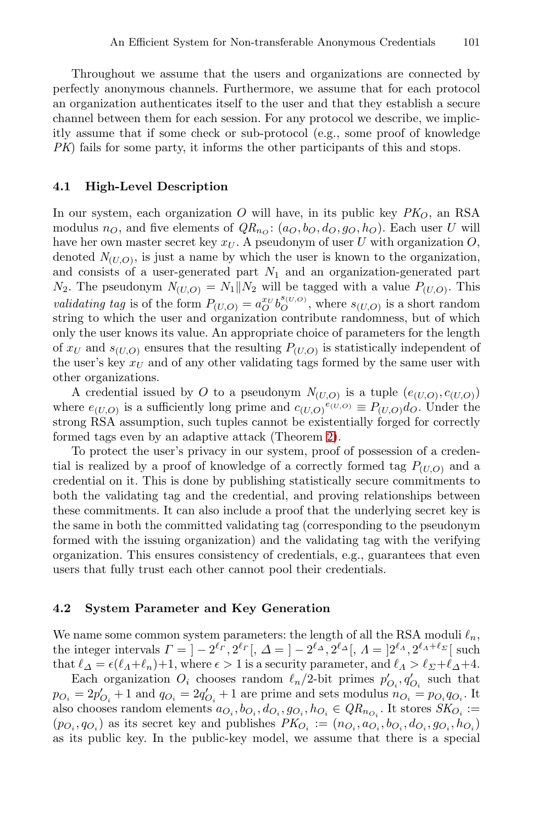<span id="page-8-0"></span>Throughout we assume that the users and organizations are connected by perfectly anonymous channels. Furthermore, we assume that for each protocol an organization authenticates itself to the user and that they establish a secure channel between them for each session. For any protocol we describe, we implicitly assume that if some check or sub-protocol (e.g., some proof of knowledge  $PK$ ) fails for some party, it informs the other participants of this and stops.

### **4.1 High-Level Description**

In our system, each organization O will have, in its public key  $PK<sub>O</sub>$ , an RSA modulus  $n_O$ , and five elements of  $QR_{n_O}$ :  $(a_O, b_O, d_O, g_O, h_O)$ . Each user U will have her own master secret key  $x_U$ . A pseudonym of user U with organization O, denoted  $N_{(U,O)}$ , is just a name by which the user is known to the organization, and consists of a user-generated part  $N_1$  and an organization-generated part  $N_2$ . The pseudonym  $N_{(U,O)} = N_1 || N_2$  will be tagged with a value  $P_{(U,O)}$ . This validating tag is of the form  $P_{(U,O)} = a_O^{x_U} b_O^{s_{(U,O)}}$ , where  $s_{(U,O)}$  is a short random string to which the user and organization contribute randomness, but of which only the user knows its value. An appropriate choice of parameters for the length of  $x_U$  and  $s(U, O)$  ensures that the resulting  $P(U, O)$  is statistically independent of the user's key  $x_U$  and of any other validating tags formed by the same user with other organizations.

A credential issued by O to a pseudonym  $N_{(U,O)}$  is a tuple  $(e_{(U,O)}, c_{(U,O)})$ where  $e_{(U,O)}$  is a sufficiently long prime and  $c_{(U,O)}^{\quad e_{(U,O)}} \equiv P_{(U,O)} d_O$ . Under the strong RSA assumption, such tuples cannot be existentially forged for correctly formed tags even by an adaptive attack (Theorem [2\)](#page-13-0).

To protect the user's privacy in our system, proof of possession of a credential is realized by a proof of knowledge of a correctly formed tag  $P_{(U,O)}$  and a credential on it. This is done by publishing statistically secure commitments to both the validating tag and the credential, and proving relationships between these commitments. It can also include a proof that the underlying secret key is the same in both the committed validating tag (corresponding to the pseudonym formed with the issuing organization) and the validating tag with the verifying organization. This ensures consistency of credentials, e.g., guarantees that even users that fully trust each other cannot pool their credentials.

#### **4.2** System Parameter and Key Generation

We name some common system parameters: the length of all the RSA moduli  $\ell_n$ , the integer intervals  $\Gamma = \left[-2^{\ell_T}, 2^{\ell_T}\right], \Delta = \left[-2^{\ell_A}, 2^{\ell_A}\right], \Delta = \left[2^{\ell_A}, 2^{\ell_A+\ell_{\Sigma}}\right]$  such that  $\ell_{\Delta} = \epsilon(\ell_{\Delta}+\ell_n)+1$ , where  $\epsilon > 1$  is a security parameter, and  $\ell_{\Delta} > \ell_{\Sigma}+\ell_{\Delta}+4$ .

Each organization  $O_i$  chooses random  $\ell_n/2$ -bit primes  $p'_{O_i}, q'_{O_i}$  such that  $p_{O_i} = 2p'_{O_i} + 1$  and  $q_{O_i} = 2q'_{O_i} + 1$  are prime and sets modulus  $n_{O_i} = p_{O_i}q_{O_i}$ . It also chooses random elements  $a_{O_i}, b_{O_i}, d_{O_i}, g_{O_i}, h_{O_i} \in QR_{n_{O_i}}$ . It stores  $SK_{O_i} :=$  $(p_{O_i}, q_{O_i})$  as its secret key and publishes  $PK_{O_i} := (n_{O_i}, a_{O_i}, b_{O_i}, d_{O_i}, g_{O_i}, h_{O_i})$ as its public key. In the public-key model, we assume that there is a special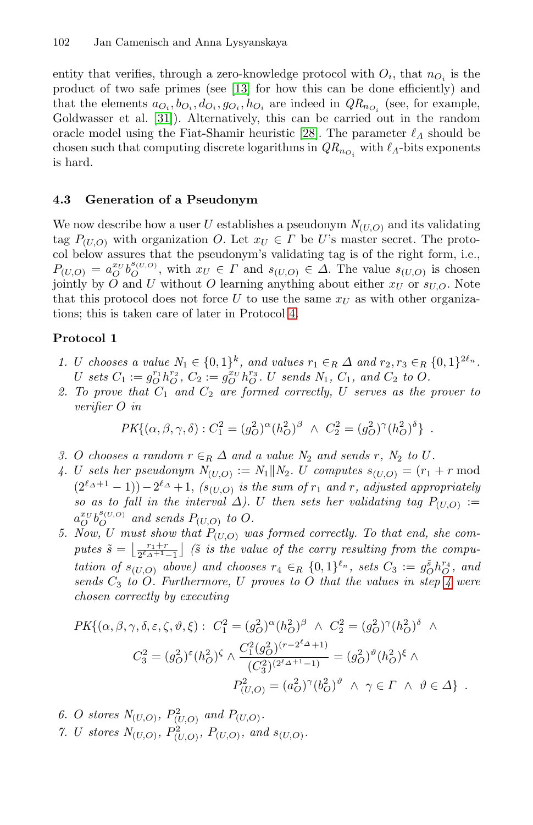<span id="page-9-0"></span>entity that verifies, through a zero-knowledge protocol with  $O_i$ , that  $n_{O_i}$  is the product of two safe primes (see  $[13]$  for how this can be done efficiently) and that the elements  $a_{O_i}, b_{O_i}, d_{O_i}, g_{O_i}, h_{O_i}$  are indeed in  $QR_{n_{O_i}}$  (see, for example, Goldwasser et al. [\[31\]](#page-25-0)). Alternatively, this can be carried out in the random oracle model using the Fiat-Shamir heuristic [\[28\]](#page-25-0). The parameter  $\ell_A$  should be chosen such that computing discrete logarithms in  $QR_{n<sub>O</sub>}$  with  $\ell_A$ -bits exponents is hard.

### **4.3 Generation of a Pseudonym**

We now describe how a user U establishes a pseudonym  $N_{(U,O)}$  and its validating tag  $P_{(U,O)}$  with organization O. Let  $x_U \in \Gamma$  be U's master secret. The protocol below assures that the pseudonym's validating tag is of the right form, i.e.,  $P_{(U,O)} = a_O^{x_U} b_O^{s_{(U,O)}},$  with  $x_U \in \Gamma$  and  $s_{(U,O)} \in \Delta$ . The value  $s_{(U,O)}$  is chosen jointly by O and U without O learning anything about either  $x_U$  or  $s_{U,O}$ . Note that this protocol does not force U to use the same  $x_U$  as with other organizations; this is taken care of later in Protocol [4.](#page-11-0)

# **Protocol 1**

- 1. U chooses a value  $N_1 \in \{0,1\}^k$ , and values  $r_1 \in_R \Delta$  and  $r_2, r_3 \in_R \{0,1\}^{2\ell_n}$ . U sets  $C_1 := g_O^{r_1} h_O^{r_2}$ ,  $C_2 := g_O^{x_U} h_O^{r_3}$ . U sends  $N_1$ ,  $C_1$ , and  $C_2$  to O.
- 2. To prove that  $C_1$  and  $C_2$  are formed correctly, U serves as the prover to verifier O in

$$
PK\{(\alpha,\beta,\gamma,\delta): C_1^2 = (g_O^2)^\alpha (h_O^2)^\beta \;\wedge\; C_2^2 = (g_O^2)^\gamma (h_O^2)^\delta\} \ .
$$

- 3. O chooses a random  $r \in_R \Delta$  and a value  $N_2$  and sends r,  $N_2$  to U.
- 4. U sets her pseudonym  $N_{(U,O)} := N_1 || N_2$ . U computes  $s_{(U,O)} = (r_1 + r \mod 1)$  $(2^{\ell_2+1}-1))-2^{\ell_2}+1$ ,  $(s_{(U,O)}$  is the sum of  $r_1$  and r, adjusted appropriately so as to fall in the interval  $\Delta$ ). U then sets her validating tag  $P_{(U,O)}$  :=  $a_O^{x_U} b_O^{s_{(U,O)}}$  and sends  $P_{(U,O)}$  to  $O$ .
- 5. Now, U must show that  $P_{(U,O)}$  was formed correctly. To that end, she computes  $\tilde{s} = \left\lfloor \frac{r_1+r}{2^{\ell} \Delta^{+1}-1} \right\rfloor$  $\int$  (s is the value of the carry resulting from the computation of  $s_{(U,O)}$  above) and chooses  $r_4 \in_R \{0,1\}^{\ell_n}$ , sets  $C_3 := g_O^{\tilde{s}} h_O^{r_4}$ , and sends  $C_3$  to O. Furthermore, U proves to O that the values in step 4 were chosen correctly by executing

$$
PK\{(\alpha, \beta, \gamma, \delta, \varepsilon, \zeta, \vartheta, \xi): C_1^2 = (g_0^2)^{\alpha} (h_0^2)^{\beta} \wedge C_2^2 = (g_0^2)^{\gamma} (h_0^2)^{\delta} \wedge C_3^2 = (g_0^2)^{\varepsilon} (h_0^2)^{\zeta} \wedge \frac{C_1^2 (g_0^2)^{(r - 2^{\ell} \Delta + 1)}}{(C_3^2)^{(2^{\ell} \Delta + 1} - 1)} = (g_0^2)^{\vartheta} (h_0^2)^{\xi} \wedge
$$
  

$$
P_{(U, O)}^2 = (a_O^2)^{\gamma} (b_O^2)^{\vartheta} \wedge \gamma \in \Gamma \wedge \vartheta \in \Delta \}.
$$

6. O stores  $N_{(U,O)}$ ,  $P_{(U,O)}^2$  and  $P_{(U,O)}$ . 7. U stores  $N_{(U,O)}, P_{(U,O)}^2$ ,  $P_{(U,O)},$  and  $s_{(U,O)}$ .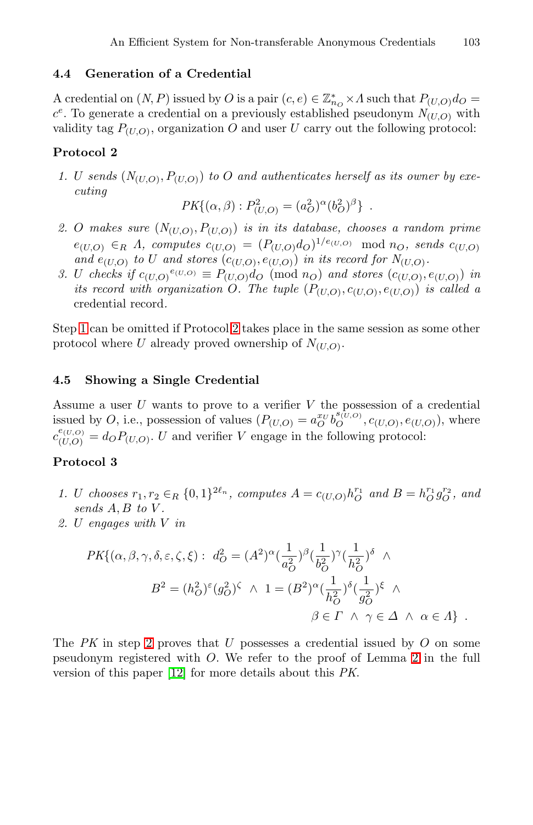# <span id="page-10-0"></span>**4.4 Generation of a Credential**

A credential on  $(N, P)$  issued by O is a pair  $(c, e) \in \mathbb{Z}_{n_O}^* \times \Lambda$  such that  $P_{(U, O)}d_O =$  $c^e$ . To generate a credential on a previously established pseudonym  $N_{(U,O)}$  with validity tag  $P_{(U,O)}$ , organization O and user U carry out the following protocol:

# **Protocol 2**

1. U sends  $(N<sub>(U,O)</sub>, P<sub>(U,O)</sub>)$  to O and authenticates herself as its owner by executing

$$
PK\{(\alpha,\beta): P^2_{(U,O)} = (a_O^2)^{\alpha} (b_O^2)^{\beta}\} .
$$

- 2. O makes sure  $(N<sub>(U,O)</sub>, P<sub>(U,O)</sub>)$  is in its database, chooses a random prime  $e_{(U,O)} \in_R \Lambda$ , computes  $c_{(U,O)} = (P_{(U,O)}d_O)^{1/e_{(U,O)}} \mod n_O$ , sends  $c_{(U,O)}$ and  $e_{(U,O)}$  to U and stores  $(e_{(U,O)}, e_{(U,O)})$  in its record for  $N_{(U,O)}$ .
- 3. U checks if  $c_{(U,O)}e^{(U,O)} \equiv P_{(U,O)}d_O$  (mod n<sub>O</sub>) and stores  $(c_{(U,O)}, e_{(U,O)})$  in its record with organization O. The tuple  $(P_{(U,O)}, c_{(U,O)}, e_{(U,O)})$  is called a credential record.

Step 1 can be omitted if Protocol 2 takes place in the same session as some other protocol where U already proved ownership of  $N_{(U,O)}$ .

# **4.5 Showing a Single Credential**

Assume a user  $U$  wants to prove to a verifier  $V$  the possession of a credential issued by O, i.e., possession of values  $(P_{(U,O)} = a_O^{x_U} b_O^{s_{(U,O)}}, c_{(U,O)}, e_{(U,O)})$ , where  $c_{(U,O)}^{e_{(U,O)}} = d_O P_{(U,O)}$ . U and verifier V engage in the following protocol:

# **Protocol 3**

- 1. U chooses  $r_1, r_2 \in_R \{0, 1\}^{2\ell_n}$ , computes  $A = c_{(U,Q)} h_Q^{r_1}$  and  $B = h_Q^{r_1} g_Q^{r_2}$ , and sends  $A, B$  to  $V$ .
- 2. U engages with V in

$$
PK\{(\alpha, \beta, \gamma, \delta, \varepsilon, \zeta, \xi): d_O^2 = (A^2)^{\alpha} \left(\frac{1}{a_O^2}\right)^{\beta} \left(\frac{1}{b_O^2}\right)^{\gamma} \left(\frac{1}{h_O^2}\right)^{\delta} \wedge
$$
  

$$
B^2 = (h_O^2)^{\varepsilon} (g_O^2)^{\zeta} \wedge 1 = (B^2)^{\alpha} \left(\frac{1}{h_O^2}\right)^{\delta} \left(\frac{1}{g_O^2}\right)^{\xi} \wedge
$$
  

$$
\beta \in \Gamma \wedge \gamma \in \Delta \wedge \alpha \in \Lambda \}.
$$

The  $PK$  in step 2 proves that U possesses a credential issued by O on some pseudonym registered with O. We refer to the proof of Lemma [2](#page-11-0) in the full version of this paper [\[12\]](#page-24-0) for more details about this PK.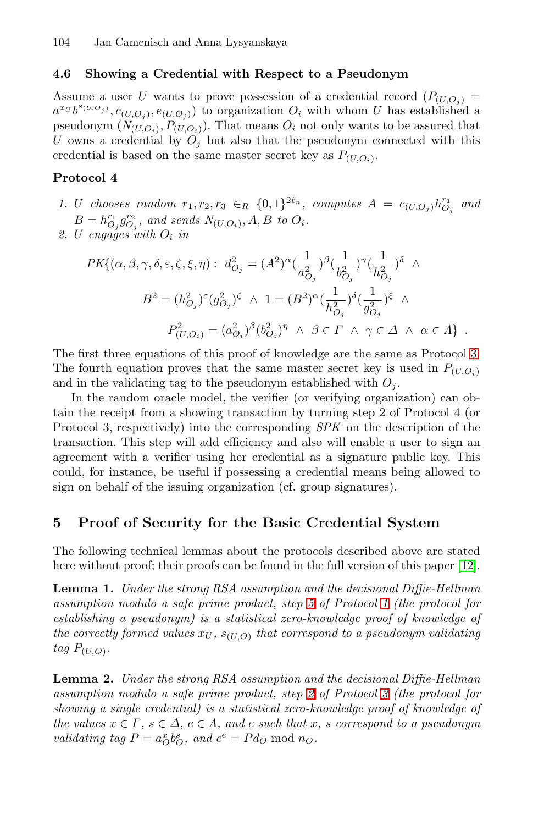#### <span id="page-11-0"></span>**4.6 Showing a Credential with Respect to a Pseudonym**

Assume a user U wants to prove possession of a credential record  $(P_{(U,O_i)} =$  $a^{x_U}b^{s_{(U,O_j)}},c_{(U,O_j)},e_{(U,O_j)})$  to organization  $O_i$  with whom U has established a pseudonym  $(N_{(U,O_i)}, P_{(U,O_i)})$ . That means  $O_i$  not only wants to be assured that U owns a credential by  $O_i$  but also that the pseudonym connected with this credential is based on the same master secret key as  $P_{(U,O_i)}$ .

### **Protocol 4**

- 1. U chooses random  $r_1, r_2, r_3 \in_R \{0, 1\}^{2\ell_n}$ , computes  $A = c_{(U, O_j)} h_{O_j}^{r_1}$  and  $B = h_{O_j}^{r_1} g_{O_j}^{r_2}$ , and sends  $N_{(U,O_i)}$ , A, B to  $O_i$ .
- 2. U engages with  $O_i$  in

$$
PK\{(\alpha, \beta, \gamma, \delta, \varepsilon, \zeta, \xi, \eta): d_{O_j}^2 = (A^2)^{\alpha} \left(\frac{1}{a_{O_j}^2}\right)^{\beta} \left(\frac{1}{b_{O_j}^2}\right)^{\gamma} \left(\frac{1}{h_{O_j}^2}\right)^{\delta} \wedge
$$
  

$$
B^2 = (h_{O_j}^2)^{\varepsilon} (g_{O_j}^2)^{\zeta} \wedge 1 = (B^2)^{\alpha} \left(\frac{1}{h_{O_j}^2}\right)^{\delta} \left(\frac{1}{g_{O_j}^2}\right)^{\xi} \wedge
$$
  

$$
P_{(U,O_i)}^2 = (a_{O_i}^2)^{\beta} (b_{O_i}^2)^{\eta} \wedge \beta \in \Gamma \wedge \gamma \in \Delta \wedge \alpha \in \Lambda \}.
$$

The first three equations of this proof of knowledge are the same as Protocol [3.](#page-10-0) The fourth equation proves that the same master secret key is used in  $P_{(U,O_i)}$ and in the validating tag to the pseudonym established with  $O_i$ .

In the random oracle model, the verifier (or verifying organization) can obtain the receipt from a showing transaction by turning step 2 of Protocol 4 (or Protocol 3, respectively) into the corresponding  $SPK$  on the description of the transaction. This step will add efficiency and also will enable a user to sign an agreement with a verifier using her credential as a signature public key. This could, for instance, be useful if possessing a credential means being allowed to sign on behalf of the issuing organization (cf. group signatures).

# **5 Proof of Security for the Basic Credential System**

The following technical lemmas about the protocols described above are stated here without proof; their proofs can be found in the full version of this paper [\[12\]](#page-24-0).

**Lemma 1.** Under the strong RSA assumption and the decisional Diffie-Hellman assumption modulo a safe prime product, step [5](#page-9-0) of Protocol [1](#page-9-0) (the protocol for establishing a pseudonym) is a statistical zero-knowledge proof of knowledge of the correctly formed values  $x_U$ ,  $s_{(U,O)}$  that correspond to a pseudonym validating tag  $P_{(U,O)}$ .

**Lemma 2.** Under the strong RSA assumption and the decisional Diffie-Hellman assumption modulo a safe prime product, step [2](#page-10-0) of Protocol [3](#page-10-0) (the protocol for showing a single credential) is a statistical zero-knowledge proof of knowledge of the values  $x \in \Gamma$ ,  $s \in \Delta$ ,  $e \in \Lambda$ , and c such that x, s correspond to a pseudonym validating tag  $P = a_O^x b_O^s$ , and  $c^e = P d_O \text{ mod } n_O$ .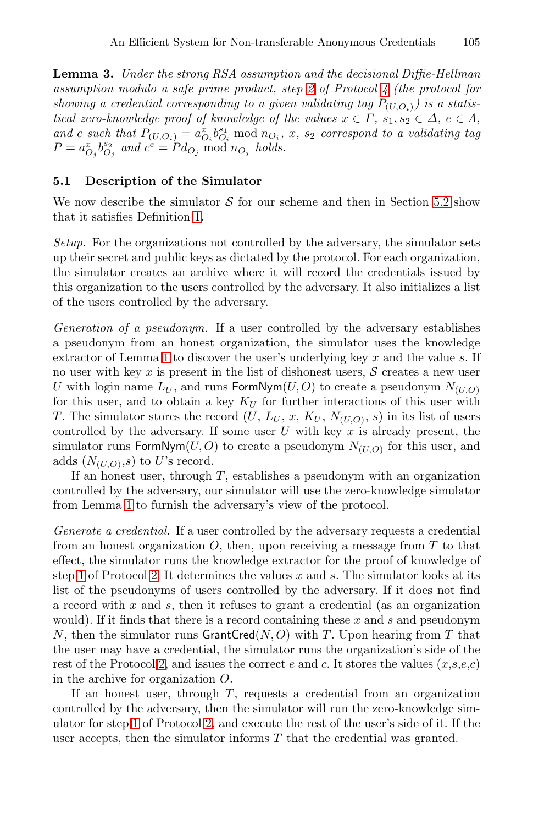<span id="page-12-0"></span>**Lemma 3.** Under the strong RSA assumption and the decisional Diffie-Hellman assumption modulo a safe prime product, step [2](#page-11-0) of Protocol [4](#page-11-0) (the protocol for showing a credential corresponding to a given validating tag  $P_{(U,O_i)}$ ) is a statistical zero-knowledge proof of knowledge of the values  $x \in \Gamma$ ,  $s_1, s_2 \in \Delta$ ,  $e \in \Lambda$ , and c such that  $P_{(U,O_i)} = a_{O_i}^x b_{O_i}^{s_1} \mod n_{O_i}$ , x, s<sub>2</sub> correspond to a validating tag  $P = a_{O_j}^x b_{O_j}^{s_2}$  and  $c^e = P d_{O_j}$  mod  $n_{O_j}$  holds.

# **5.1 Description of the Simulator**

We now describe the simulator  $\mathcal S$  for our scheme and then in Section [5.2](#page-13-0) show that it satisfies Definition [1.](#page-6-0)

Setup. For the organizations not controlled by the adversary, the simulator sets up their secret and public keys as dictated by the protocol. For each organization, the simulator creates an archive where it will record the credentials issued by this organization to the users controlled by the adversary. It also initializes a list of the users controlled by the adversary.

Generation of a pseudonym. If a user controlled by the adversary establishes a pseudonym from an honest organization, the simulator uses the knowledge extractor of Lemma [1](#page-11-0) to discover the user's underlying key x and the value s. If no user with key x is present in the list of dishonest users,  $S$  creates a new user U with login name  $L_U$ , and runs FormNym $(U, O)$  to create a pseudonym  $N_{(U,O)}$ for this user, and to obtain a key  $K_U$  for further interactions of this user with T. The simulator stores the record  $(U, L_U, x, K_U, N_{(U,O)}, s)$  in its list of users controlled by the adversary. If some user  $U$  with key  $x$  is already present, the simulator runs FormNym $(U, O)$  to create a pseudonym  $N_{(U, O)}$  for this user, and adds  $(N_{(U,O)},s)$  to U's record.

If an honest user, through  $T$ , establishes a pseudonym with an organization controlled by the adversary, our simulator will use the zero-knowledge simulator from Lemma [1](#page-11-0) to furnish the adversary's view of the protocol.

Generate a credential. If a user controlled by the adversary requests a credential from an honest organization  $O$ , then, upon receiving a message from  $T$  to that effect, the simulator runs the knowledge extractor for the proof of knowledge of step [1](#page-10-0) of Protocol [2.](#page-10-0) It determines the values  $x$  and  $s$ . The simulator looks at its list of the pseudonyms of users controlled by the adversary. If it does not find a record with  $x$  and  $s$ , then it refuses to grant a credential (as an organization would). If it finds that there is a record containing these x and s and pseudonym N, then the simulator runs  $\mathsf{GrantCred}(N,O)$  with T. Upon hearing from T that the user may have a credential, the simulator runs the organization's side of the rest of the Protocol [2,](#page-10-0) and issues the correct e and c. It stores the values  $(x,s,e,c)$ in the archive for organization O.

If an honest user, through  $T$ , requests a credential from an organization controlled by the adversary, then the simulator will run the zero-knowledge simulator for step [1](#page-10-0) of Protocol [2,](#page-10-0) and execute the rest of the user's side of it. If the user accepts, then the simulator informs  $T$  that the credential was granted.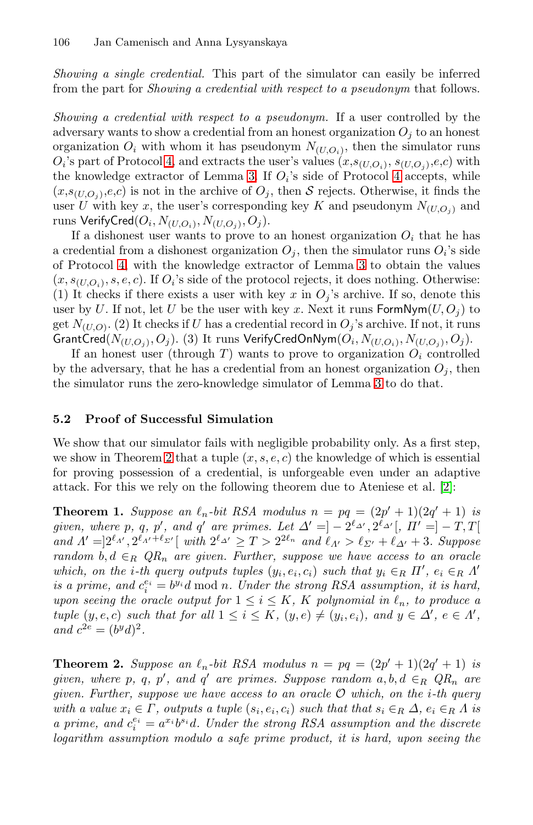<span id="page-13-0"></span>Showing a single credential. This part of the simulator can easily be inferred from the part for *Showing a credential with respect to a pseudonym* that follows.

Showing a credential with respect to a pseudonym. If a user controlled by the adversary wants to show a credential from an honest organization  $O_i$  to an honest organization  $O_i$  with whom it has pseudonym  $N_{(U,O_i)}$ , then the simulator runs  $O_i$ 's part of Protocol [4,](#page-11-0) and extracts the user's values  $(x, s_{(U,O_i)}, s_{(U,O_i)}, e, c)$  with the knowledge extractor of Lemma [3.](#page-12-0) If  $O_i$ 's side of Protocol [4](#page-11-0) accepts, while  $(x,s_{(U,O_i),e,c})$  is not in the archive of  $O_i$ , then S rejects. Otherwise, it finds the user U with key x, the user's corresponding key K and pseudonym  $N_{(U,O_i)}$  and runs VerifyCred $(O_i, N_{(U,O_i)}, N_{(U,O_i)}, O_j)$ .

If a dishonest user wants to prove to an honest organization  $O_i$  that he has a credential from a dishonest organization  $O_i$ , then the simulator runs  $O_i$ 's side of Protocol [4,](#page-11-0) with the knowledge extractor of Lemma [3](#page-12-0) to obtain the values  $(x, s_{(U,Q_i)}, s, e, c)$ . If  $Q_i$ 's side of the protocol rejects, it does nothing. Otherwise: (1) It checks if there exists a user with key x in  $O_i$ 's archive. If so, denote this user by U. If not, let U be the user with key x. Next it runs  $\mathsf{FormNum}(U, O_i)$  to get  $N_{(U,O)}$ . (2) It checks if U has a credential record in  $O_i$ 's archive. If not, it runs GrantCred( $N_{(U,O_i)}, O_j$ ). (3) It runs VerifyCredOnNym( $O_i, N_{(U,O_i)}, N_{(U,O_i)}, O_j$ ).

If an honest user (through  $T$ ) wants to prove to organization  $O_i$  controlled by the adversary, that he has a credential from an honest organization  $O_i$ , then the simulator runs the zero-knowledge simulator of Lemma [3](#page-12-0) to do that.

### **5.2 Proof of Successful Simulation**

We show that our simulator fails with negligible probability only. As a first step, we show in Theorem 2 that a tuple  $(x, s, e, c)$  the knowledge of which is essential for proving possession of a credential, is unforgeable even under an adaptive attack. For this we rely on the following theorem due to Ateniese et al. [\[2\]](#page-23-0):

**Theorem 1.** Suppose an  $\ell_n$ -bit RSA modulus  $n = pq = (2p' + 1)(2q' + 1)$  is given, where p, q, p', and q' are primes. Let  $\Delta' = ] - 2^{\ell_{\Delta'}} , 2^{\ell_{\Delta'}} [$ ,  $\Pi' = ] - T, T[$ and  $\Lambda' = 2^{\ell_{\Lambda'}}$ ,  $2^{\ell_{\Lambda'}+\ell_{\Sigma'}}$  [ with  $2^{\ell_{\Delta'}} \geq T > 2^{2\ell_n}$  and  $\ell_{\Lambda'} > \ell_{\Sigma'} + \ell_{\Delta'} + 3$ . Suppose random b,  $d \in_R QR_n$  are given. Further, suppose we have access to an oracle which, on the *i*-th query outputs tuples  $(y_i, e_i, c_i)$  such that  $y_i \in_R \Pi'$ ,  $e_i \in_R \Lambda'$ is a prime, and  $c_i^{e_i} = b^{y_i}d \mod n$ . Under the strong RSA assumption, it is hard, upon seeing the oracle output for  $1 \leq i \leq K$ , K polynomial in  $\ell_n$ , to produce a tuple  $(y, e, c)$  such that for all  $1 \leq i \leq K$ ,  $(y, e) \neq (y_i, e_i)$ , and  $y \in \Delta'$ ,  $e \in \Lambda'$ , and  $c^{2e} = (b^y d)^2$ .

**Theorem 2.** Suppose an  $\ell_n$ -bit RSA modulus  $n = pq = (2p' + 1)(2q' + 1)$  is given, where p, q, p', and q' are primes. Suppose random  $a, b, d \in_R QR_n$  are given. Further, suppose we have access to an oracle  $\mathcal O$  which, on the *i*-th query with a value  $x_i \in \Gamma$ , outputs a tuple  $(s_i, e_i, c_i)$  such that that  $s_i \in_R \Delta$ ,  $e_i \in_R \Delta$  is a prime, and  $c_i^{e_i} = a^{x_i}b^{s_i}d$ . Under the strong RSA assumption and the discrete logarithm assumption modulo a safe prime product, it is hard, upon seeing the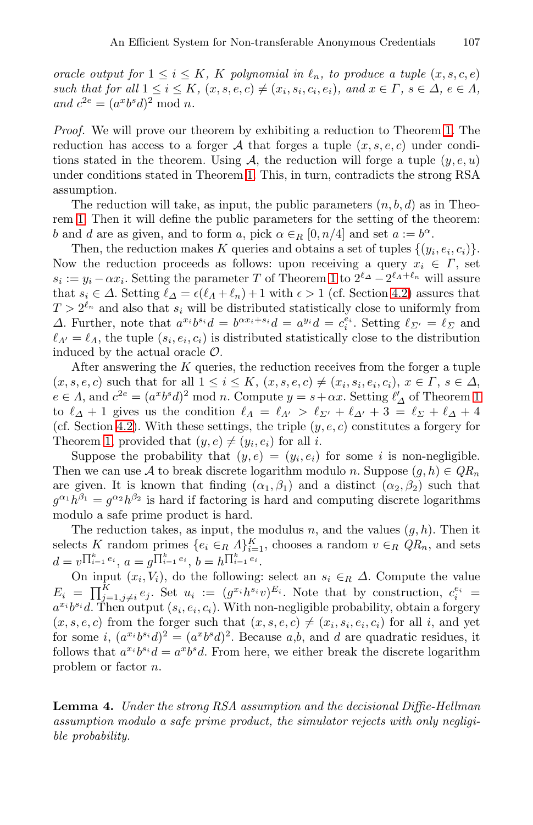oracle output for  $1 \leq i \leq K$ , K polynomial in  $\ell_n$ , to produce a tuple  $(x, s, c, e)$ such that for all  $1 \leq i \leq K$ ,  $(x, s, e, c) \neq (x_i, s_i, c_i, e_i)$ , and  $x \in \Gamma$ ,  $s \in \Delta$ ,  $e \in \Lambda$ , and  $c^{2e} = (a^x b^s d)^2 \text{ mod } n$ .

Proof. We will prove our theorem by exhibiting a reduction to Theorem [1.](#page-13-0) The reduction has access to a forger A that forges a tuple  $(x, s, e, c)$  under conditions stated in the theorem. Using A, the reduction will forge a tuple  $(y, e, u)$ under conditions stated in Theorem [1.](#page-13-0) This, in turn, contradicts the strong RSA assumption.

The reduction will take, as input, the public parameters  $(n, b, d)$  as in Theorem [1.](#page-13-0) Then it will define the public parameters for the setting of the theorem: b and d are as given, and to form a, pick  $\alpha \in_R [0, n/4]$  and set  $a := b^{\alpha}$ .

Then, the reduction makes K queries and obtains a set of tuples  $\{(y_i, e_i, c_i)\}.$ Now the reduction proceeds as follows: upon receiving a query  $x_i \in \Gamma$ , set  $s_i := y_i - \alpha x_i$ . Setting the parameter T of Theorem [1](#page-13-0) to  $2^{\ell} - 2^{\ell} - 4^{\ell}$  will assure that  $s_i \in \Delta$ . Setting  $\ell_{\Delta} = \epsilon(\ell_{\Delta} + \ell_n) + 1$  with  $\epsilon > 1$  (cf. Section [4.2\)](#page-8-0) assures that  $T > 2^{\ell_n}$  and also that  $s_i$  will be distributed statistically close to uniformly from  $\Delta$ . Further, note that  $a^{x_i}b^{s_i}d = b^{\alpha x_i + s_i}d = a^{y_i}d = c_i^{e_i}$ . Setting  $\ell_{\Sigma'} = \ell_{\Sigma}$  and  $\ell_{\Lambda'} = \ell_{\Lambda}$ , the tuple  $(s_i, e_i, c_i)$  is distributed statistically close to the distribution induced by the actual oracle  $\mathcal{O}$ .

After answering the  $K$  queries, the reduction receives from the forger a tuple  $(x, s, e, c)$  such that for all  $1 \leq i \leq K$ ,  $(x, s, e, c) \neq (x_i, s_i, e_i, c_i)$ ,  $x \in \Gamma$ ,  $s \in \Delta$ ,  $e \in \Lambda$ , and  $c^{2e} = (a^x b^s d)^2 \mod n$ . Compute  $y = s + \alpha x$ . Setting  $\ell'_{\Delta}$  of Theorem [1](#page-13-0) to  $\ell_A + 1$  gives us the condition  $\ell_A = \ell_{A'} > \ell_{\Sigma'} + \ell_{A'} + 3 = \ell_{\Sigma} + \ell_A + 4$ (cf. Section [4.2\)](#page-8-0). With these settings, the triple  $(y, e, c)$  constitutes a forgery for Theorem [1,](#page-13-0) provided that  $(y, e) \neq (y_i, e_i)$  for all i.

Suppose the probability that  $(y, e) = (y_i, e_i)$  for some i is non-negligible. Then we can use A to break discrete logarithm modulo n. Suppose  $(g, h) \in QR_n$ are given. It is known that finding  $(\alpha_1, \beta_1)$  and a distinct  $(\alpha_2, \beta_2)$  such that  $g^{\alpha_1} h^{\beta_1} = g^{\alpha_2} h^{\beta_2}$  is hard if factoring is hard and computing discrete logarithms modulo a safe prime product is hard.

The reduction takes, as input, the modulus n, and the values  $(g, h)$ . Then it selects K random primes  $\{e_i \in_R \Lambda\}_{i=1}^K$ , chooses a random  $v \in_R QR_n$ , and sets  $d = v^{\prod_{i=1}^k e_i}, \, a = g^{\prod_{i=1}^k e_i}, \, b = h^{\prod_{i=1}^k e_i}.$ 

On input  $(x_i, V_i)$ , do the following: select an  $s_i \in_R \Delta$ . Compute the value  $E_i = \prod_{j=1}^K E_j$ ,  $\sum_{j=1}^K E_j$ . Set  $u_i := (g^{x_i} h^{s_i} v)^{E_i}$ . Note that by construction,  $c_i^{e_i} =$  $a^{x_i}b^{s_i}d$ . Then output  $(s_i, e_i, c_i)$ . With non-negligible probability, obtain a forgery  $(x, s, e, c)$  from the forger such that  $(x, s, e, c) \neq (x_i, s_i, e_i, c_i)$  for all i, and yet for some i,  $(a^{x_i}b^{s_i}d)^2 = (a^xb^sd)^2$ . Because a,b, and d are quadratic residues, it follows that  $a^{x_i}b^{s_i}d = a^{x}b^{s}d$ . From here, we either break the discrete logarithm problem or factor n.

**Lemma 4.** Under the strong RSA assumption and the decisional Diffie-Hellman assumption modulo a safe prime product, the simulator rejects with only negligible probability.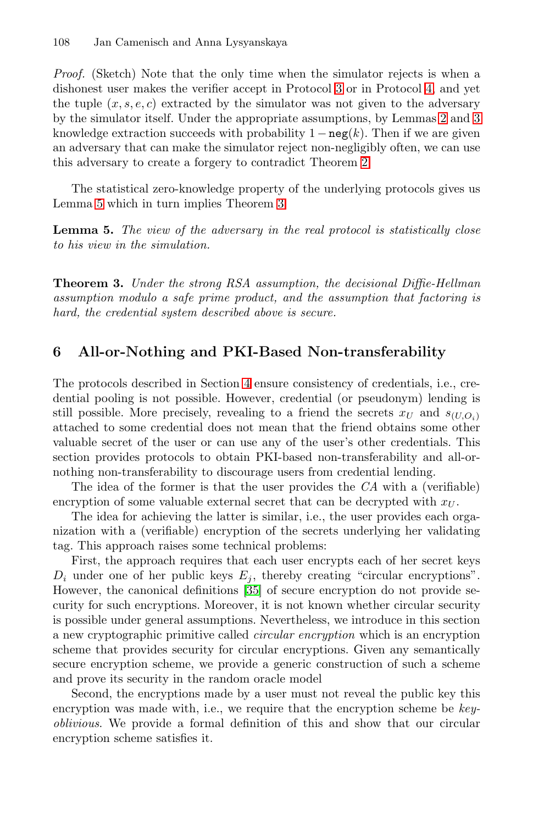<span id="page-15-0"></span>Proof. (Sketch) Note that the only time when the simulator rejects is when a dishonest user makes the verifier accept in Protocol [3](#page-10-0) or in Protocol [4,](#page-11-0) and yet the tuple  $(x, s, e, c)$  extracted by the simulator was not given to the adversary by the simulator itself. Under the appropriate assumptions, by Lemmas [2](#page-11-0) and [3](#page-12-0) knowledge extraction succeeds with probability  $1 - neg(k)$ . Then if we are given an adversary that can make the simulator reject non-negligibly often, we can use this adversary to create a forgery to contradict Theorem [2.](#page-13-0)

The statistical zero-knowledge property of the underlying protocols gives us Lemma 5 which in turn implies Theorem 3.

**Lemma 5.** The view of the adversary in the real protocol is statistically close to his view in the simulation.

**Theorem 3.** Under the strong RSA assumption, the decisional Diffie-Hellman assumption modulo a safe prime product, and the assumption that factoring is hard, the credential system described above is secure.

# **6 All-or-Nothing and PKI-Based Non-transferability**

The protocols described in Section [4](#page-7-0) ensure consistency of credentials, i.e., credential pooling is not possible. However, credential (or pseudonym) lending is still possible. More precisely, revealing to a friend the secrets  $x_U$  and  $s_{(U,Q_i)}$ attached to some credential does not mean that the friend obtains some other valuable secret of the user or can use any of the user's other credentials. This section provides protocols to obtain PKI-based non-transferability and all-ornothing non-transferability to discourage users from credential lending.

The idea of the former is that the user provides the CA with a (verifiable) encryption of some valuable external secret that can be decrypted with  $x_U$ .

The idea for achieving the latter is similar, i.e., the user provides each organization with a (verifiable) encryption of the secrets underlying her validating tag. This approach raises some technical problems:

First, the approach requires that each user encrypts each of her secret keys  $D_i$  under one of her public keys  $E_i$ , thereby creating "circular encryptions". However, the canonical definitions [\[35\]](#page-25-0) of secure encryption do not provide security for such encryptions. Moreover, it is not known whether circular security is possible under general assumptions. Nevertheless, we introduce in this section a new cryptographic primitive called circular encryption which is an encryption scheme that provides security for circular encryptions. Given any semantically secure encryption scheme, we provide a generic construction of such a scheme and prove its security in the random oracle model

Second, the encryptions made by a user must not reveal the public key this encryption was made with, i.e., we require that the encryption scheme be keyoblivious. We provide a formal definition of this and show that our circular encryption scheme satisfies it.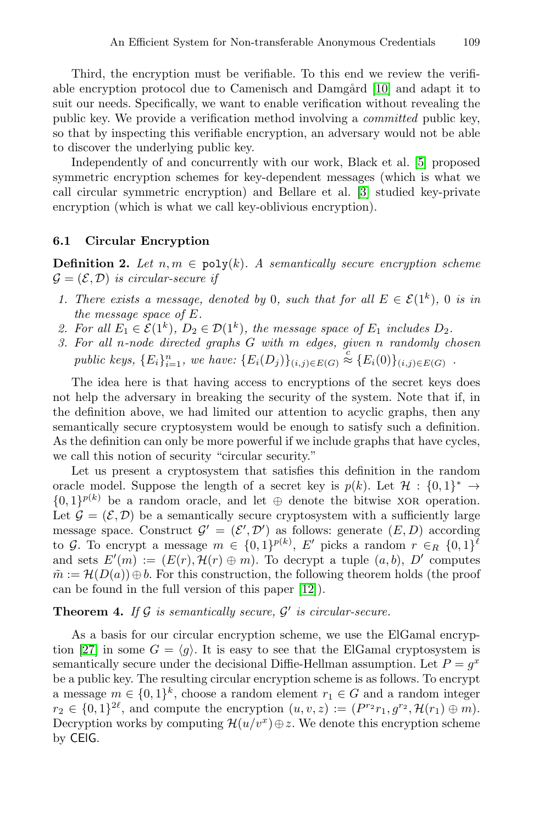<span id="page-16-0"></span>Third, the encryption must be verifiable. To this end we review the verifi-able encryption protocol due to Camenisch and Damgård [\[10\]](#page-24-0) and adapt it to suit our needs. Specifically, we want to enable verification without revealing the public key. We provide a verification method involving a committed public key, so that by inspecting this verifiable encryption, an adversary would not be able to discover the underlying public key.

Independently of and concurrently with our work, Black et al. [\[5\]](#page-24-0) proposed symmetric encryption schemes for key-dependent messages (which is what we call circular symmetric encryption)and Bellare et al. [\[3\]](#page-23-0) studied key-private encryption (which is what we call key-oblivious encryption).

#### **6.1 Circular Encryption**

**Definition 2.** Let  $n, m \in \text{poly}(k)$ . A semantically secure encryption scheme  $\mathcal{G} = (\mathcal{E}, \mathcal{D})$  is circular-secure if

- 1. There exists a message, denoted by 0, such that for all  $E \in \mathcal{E}(1^k)$ , 0 is in the message space of E.
- 2. For all  $E_1 \in \mathcal{E}(1^k)$ ,  $D_2 \in \mathcal{D}(1^k)$ , the message space of  $E_1$  includes  $D_2$ .
- 3. For all n-node directed graphs G with m edges, given n randomly chosen public keys,  $\{E_i\}_{i=1}^n$ , we have:  $\{E_i(D_j)\}_{(i,j)\in E(G)} \stackrel{c}{\approx} \{E_i(0)\}_{(i,j)\in E(G)}$ .

The idea here is that having access to encryptions of the secret keys does not help the adversary in breaking the security of the system. Note that if, in the definition above, we had limited our attention to acyclic graphs, then any semantically secure cryptosystem would be enough to satisfy such a definition. As the definition can only be more powerful if we include graphs that have cycles, we call this notion of security "circular security."

Let us present a cryptosystem that satisfies this definition in the random oracle model. Suppose the length of a secret key is  $p(k)$ . Let  $\mathcal{H}$ :  $\{0,1\}^* \to$  $\{0,1\}^{p(k)}$  be a random oracle, and let  $\oplus$  denote the bitwise XOR operation. Let  $\mathcal{G} = (\mathcal{E}, \mathcal{D})$  be a semantically secure cryptosystem with a sufficiently large message space. Construct  $\mathcal{G}' = (\mathcal{E}', \mathcal{D}')$  as follows: generate  $(E, D)$  according to G. To encrypt a message  $m \in \{0,1\}^{p(k)}$ , E' picks a random  $r \in_R \{0,1\}^{\ell}$ and sets  $E'(m) := (E(r), \mathcal{H}(r) \oplus m)$ . To decrypt a tuple  $(a, b)$ , D' computes  $\tilde{m} := \mathcal{H}(D(a)) \oplus b$ . For this construction, the following theorem holds (the proof can be found in the full version of this paper [\[12\]](#page-24-0)).

# **Theorem 4.** If  $G$  is semantically secure,  $G'$  is circular-secure.

As a basis for our circular encryption scheme, we use the ElGamal encryp-tion [\[27\]](#page-25-0) in some  $G = \langle g \rangle$ . It is easy to see that the ElGamal cryptosystem is semantically secure under the decisional Diffie-Hellman assumption. Let  $P = g^x$ be a public key. The resulting circular encryption scheme is as follows. To encrypt a message  $m \in \{0,1\}^k$ , choose a random element  $r_1 \in G$  and a random integer  $r_2 \in \{0,1\}^{2\ell}$ , and compute the encryption  $(u, v, z) := (P^{r_2}r_1, g^{r_2}, \mathcal{H}(r_1) \oplus m).$ Decryption works by computing  $\mathcal{H}(u/v^x) \oplus z$ . We denote this encryption scheme by CElG.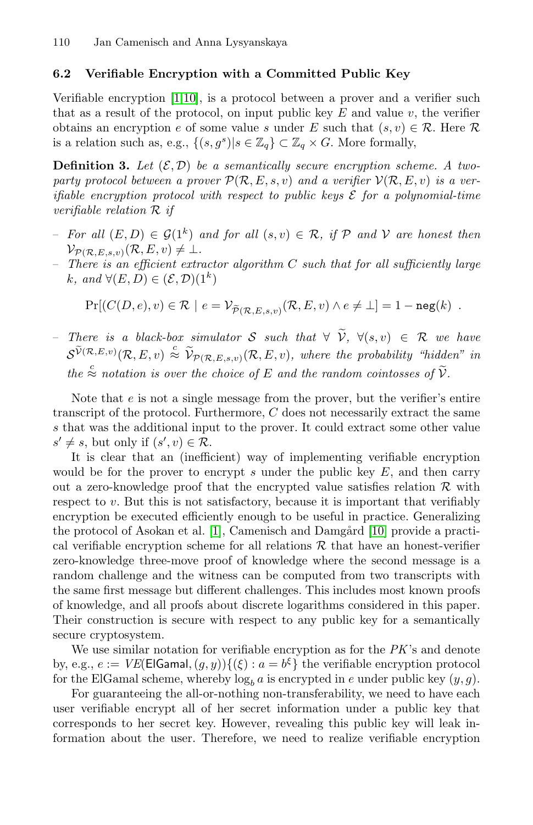# **6.2Verifiable Encryption with a Committed Public Key**

Verifiable encryption [\[1](#page-23-0)[,10\]](#page-24-0), is a protocol between a prover and a verifier such that as a result of the protocol, on input public key  $E$  and value  $v$ , the verifier obtains an encryption e of some value s under E such that  $(s, v) \in \mathcal{R}$ . Here R is a relation such as, e.g.,  $\{(s, g^s)|s \in \mathbb{Z}_q\} \subset \mathbb{Z}_q \times G$ . More formally,

**Definition 3.** Let  $(\mathcal{E}, \mathcal{D})$  be a semantically secure encryption scheme. A twoparty protocol between a prover  $\mathcal{P}(\mathcal{R}, E, s, v)$  and a verifier  $\mathcal{V}(\mathcal{R}, E, v)$  is a verifiable encryption protocol with respect to public keys  $\mathcal E$  for a polynomial-time verifiable relation R if

- For all  $(E, D) \in \mathcal{G}(1^k)$  and for all  $(s, v) \in \mathcal{R}$ , if  $\mathcal{P}$  and  $\mathcal{V}$  are honest then  $\mathcal{V}_{\mathcal{P}(\mathcal{R},E,s,v)}(\mathcal{R},E,v) \neq \perp.$
- There is an efficient extractor algorithm  $C$  such that for all sufficiently large k, and  $\forall (E, D) \in (\mathcal{E}, \mathcal{D})(1^k)$

$$
\Pr[(C(D, e), v) \in \mathcal{R} \mid e = \mathcal{V}_{\widetilde{\mathcal{P}}(\mathcal{R}, E, s, v)}(\mathcal{R}, E, v) \land e \neq \bot] = 1 - \text{neg}(k) .
$$

– There is a black-box simulator S such that  $\forall \ \widetilde{\mathcal{V}}, \ \forall (s,v) \in \mathcal{R}$  we have  $\mathcal{S}^{\widetilde{\mathcal{V}}(\mathcal{R},E,v)}(\mathcal{R},E,v) \stackrel{c}{\approx} \widetilde{\mathcal{V}}_{\mathcal{P}(\mathcal{R},E,s,v)}(\mathcal{R},E,v),$  where the probability "hidden" in the  $\stackrel{c}{\approx}$  notation is over the choice of E and the random cointosses of  $\widetilde{\mathcal{V}}$ .

Note that  $e$  is not a single message from the prover, but the verifier's entire transcript of the protocol. Furthermore,  $C$  does not necessarily extract the same s that was the additional input to the prover. It could extract some other value  $s' \neq s$ , but only if  $(s', v) \in \mathcal{R}$ .

It is clear that an (inefficient) way of implementing verifiable encryption would be for the prover to encrypt s under the public key  $E$ , and then carry out a zero-knowledge proof that the encrypted value satisfies relation  $\mathcal R$  with respect to  $v$ . But this is not satisfactory, because it is important that verifiably encryption be executed efficiently enough to be useful in practice. Generalizing the protocol of Asokan et al. [\[1\]](#page-23-0), Camenisch and Damgård [\[10\]](#page-24-0) provide a practical verifiable encryption scheme for all relations  $\mathcal R$  that have an honest-verifier zero-knowledge three-move proof of knowledge where the second message is a random challenge and the witness can be computed from two transcripts with the same first message but different challenges. This includes most known proofs of knowledge, and all proofs about discrete logarithms considered in this paper. Their construction is secure with respect to any public key for a semantically secure cryptosystem.

We use similar notation for verifiable encryption as for the  $PK$ 's and denote by, e.g.,  $e := VE(E[\text{Gamma}, (g, y))\{(\xi) : a = b^{\xi}\}\)$  the verifiable encryption protocol for the ElGamal scheme, whereby  $\log_b a$  is encrypted in e under public key  $(y, g)$ .

For guaranteeing the all-or-nothing non-transferability, we need to have each user verifiable encrypt all of her secret information under a public key that corresponds to her secret key. However, revealing this public key will leak information about the user. Therefore, we need to realize verifiable encryption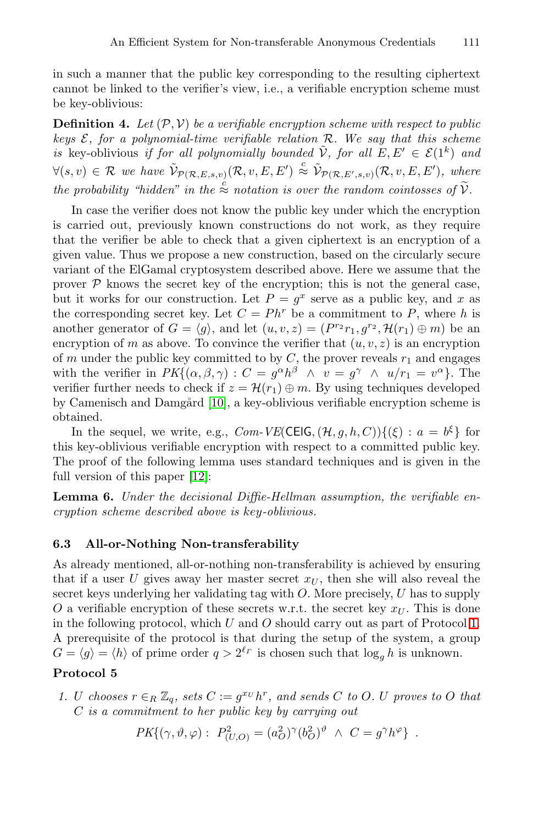in such a manner that the public key corresponding to the resulting ciphertext cannot be linked to the verifier's view, i.e., a verifiable encryption scheme must be key-oblivious:

**Definition 4.** Let  $(\mathcal{P}, \mathcal{V})$  be a verifiable encryption scheme with respect to public keys  $\mathcal{E}$ , for a polynomial-time verifiable relation  $\mathcal{R}$ . We say that this scheme is key-oblivious if for all polynomially bounded  $\tilde{V}$ , for all  $E, E' \in \mathcal{E}(1^k)$  and  $\forall (s, v) \in \mathcal{R}$  we have  $\tilde{\mathcal{V}}_{\mathcal{P}(\mathcal{R},E,s,v)}(\mathcal{R},v,E,E') \overset{c}{\approx} \tilde{\mathcal{V}}_{\mathcal{P}(\mathcal{R},E',s,v)}(\mathcal{R},v,E,E'),$  where the probability "hidden" in the  $\stackrel{c}{\approx}$  notation is over the random cointosses of  $\widetilde{\mathcal{V}}$ .

In case the verifier does not know the public key under which the encryption is carried out, previously known constructions do not work, as they require that the verifier be able to check that a given ciphertext is an encryption of a given value. Thus we propose a new construction, based on the circularly secure variant of the ElGamal cryptosystem described above. Here we assume that the prover  $\mathcal P$  knows the secret key of the encryption; this is not the general case, but it works for our construction. Let  $P = g^x$  serve as a public key, and x as the corresponding secret key. Let  $C = Ph^r$  be a commitment to P, where h is another generator of  $G = \langle g \rangle$ , and let  $(u, v, z) = (P^{r_2}r_1, g^{r_2}, \mathcal{H}(r_1) \oplus m)$  be an encryption of m as above. To convince the verifier that  $(u, v, z)$  is an encryption of m under the public key committed to by  $C$ , the prover reveals  $r_1$  and engages with the verifier in  $PK{(\alpha, \beta, \gamma): C = g^{\alpha}h^{\beta} \land v = g^{\gamma} \land u/r_1 = v^{\alpha}}$ . The verifier further needs to check if  $z = \mathcal{H}(r_1) \oplus m$ . By using techniques developed by Camenisch and Damgård [\[10\]](#page-24-0), a key-oblivious verifiable encryption scheme is obtained.

In the sequel, we write, e.g.,  $Com-VE(\text{CEIG},(\mathcal{H}, g, h, C))\{(\xi): a = b^{\xi}\}\$ for this key-oblivious verifiable encryption with respect to a committed public key. The proof of the following lemma uses standard techniques and is given in the full version of this paper [\[12\]](#page-24-0):

**Lemma 6.** Under the decisional Diffie-Hellman assumption, the verifiable encryption scheme described above is key-oblivious.

#### **6.3 All-or-Nothing Non-transferability**

As already mentioned, all-or-nothing non-transferability is achieved by ensuring that if a user U gives away her master secret  $x_U$ , then she will also reveal the secret keys underlying her validating tag with O. More precisely, U has to supply O a verifiable encryption of these secrets w.r.t. the secret key  $x_U$ . This is done in the following protocol, which  $U$  and  $O$  should carry out as part of Protocol [1.](#page-9-0) A prerequisite of the protocol is that during the setup of the system, a group  $G = \langle g \rangle = \langle h \rangle$  of prime order  $q > 2^{\ell_r}$  is chosen such that  $\log_g h$  is unknown.

# **Protocol 5**

1. U chooses  $r \in_R \mathbb{Z}_q$ , sets  $C := g^{x_U} h^r$ , and sends C to O. U proves to O that C is a commitment to her public key by carrying out

$$
PK\{(\gamma,\vartheta,\varphi): P^2_{(U,O)} = (a_O^2)^{\gamma} (b_O^2)^{\vartheta} \ \wedge \ C = g^{\gamma} h^{\varphi} \} .
$$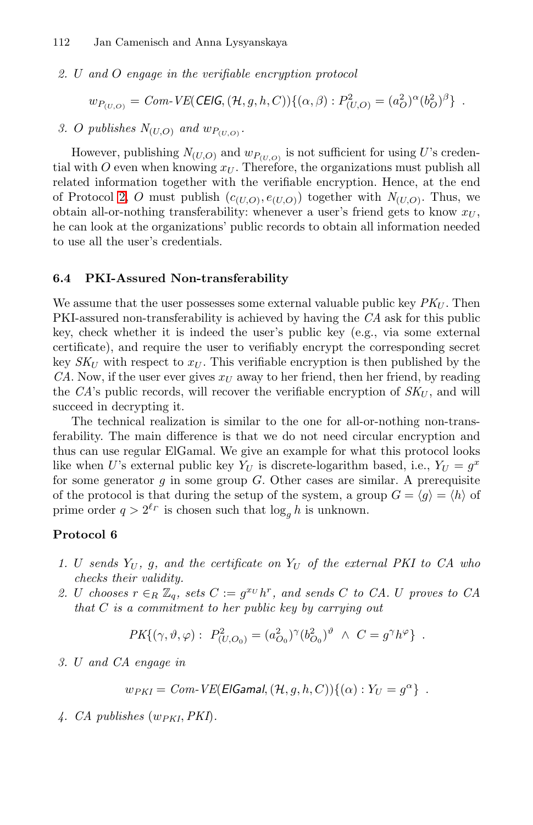2. U and O engage in the verifiable encryption protocol

$$
w_{P_{(U,O)}} = Com\text{-}VE(CEIG, (\mathcal{H}, g, h, C)) \{(\alpha, \beta) : P^2_{(U,O)} = (a^2_O)^{\alpha} (b^2_O)^{\beta}\} .
$$

3. O publishes  $N_{(U,O)}$  and  $w_{P_{(U,O)}}$ .

However, publishing  $N_{(U,O)}$  and  $w_{P(U,O)}$  is not sufficient for using U's credential with O even when knowing  $x_U$ . Therefore, the organizations must publish all related information together with the verifiable encryption. Hence, at the end of Protocol [2,](#page-10-0) O must publish  $(c_{(U,O)}, e_{(U,O)})$  together with  $N_{(U,O)}$ . Thus, we obtain all-or-nothing transferability: whenever a user's friend gets to know  $x_U$ , he can look at the organizations' public records to obtain all information needed to use all the user's credentials.

#### **6.4 PKI-Assured Non-transferability**

We assume that the user possesses some external valuable public key  $PK_U$ . Then PKI-assured non-transferability is achieved by having the CA ask for this public key, check whether it is indeed the user's public key (e.g., via some external certificate), and require the user to verifiably encrypt the corresponding secret key  $SK_U$  with respect to  $x_U$ . This verifiable encryption is then published by the CA. Now, if the user ever gives  $x_U$  away to her friend, then her friend, by reading the CA's public records, will recover the verifiable encryption of  $SK_U$ , and will succeed in decrypting it.

The technical realization is similar to the one for all-or-nothing non-transferability. The main difference is that we do not need circular encryption and thus can use regular ElGamal. We give an example for what this protocol looks like when U's external public key  $Y_U$  is discrete-logarithm based, i.e.,  $Y_U = g^x$ for some generator  $g$  in some group  $G$ . Other cases are similar. A prerequisite of the protocol is that during the setup of the system, a group  $G = \langle g \rangle = \langle h \rangle$  of prime order  $q > 2^{\ell_r}$  is chosen such that  $\log_q h$  is unknown.

# **Protocol 6**

- 1. U sends  $Y_U$ , g, and the certificate on  $Y_U$  of the external PKI to CA who checks their validity.
- 2. U chooses  $r \in_R \mathbb{Z}_q$ , sets  $C := g^{x_U} h^r$ , and sends C to CA. U proves to CA that C is a commitment to her public key by carrying out

$$
PK\{(\gamma,\vartheta,\varphi): P^2_{(U,O_0)} = (a^2_{O_0})^{\gamma} (b^2_{O_0})^{\vartheta} \wedge C = g^{\gamma} h^{\varphi}\} .
$$

3. U and CA engage in

$$
w_{PKI} = \textit{Com-VE}(\textit{ElGamal}, (\mathcal{H}, g, h, C)) \{(\alpha): Y_U = g^\alpha\} \enspace .
$$

4. CA publishes  $(w_{PKI}, PKI)$ .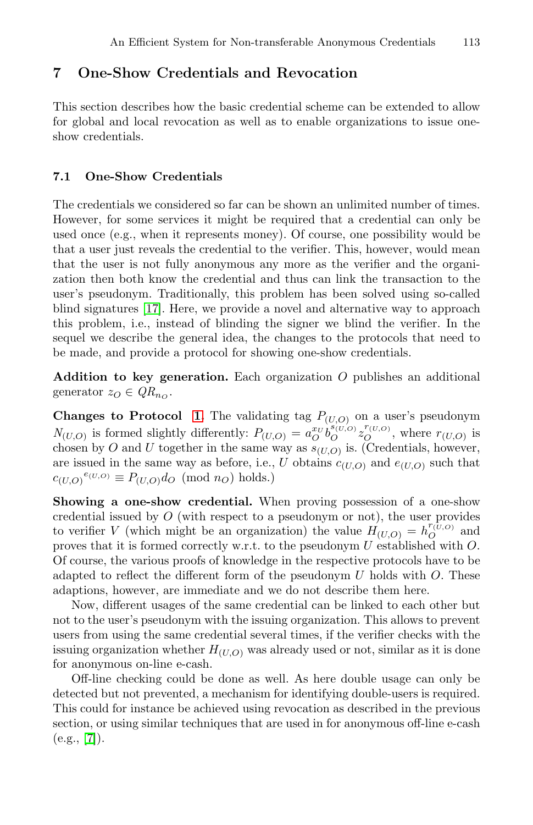# <span id="page-20-0"></span>**7 One-Show Credentials and Revocation**

This section describes how the basic credential scheme can be extended to allow for global and local revocation as well as to enable organizations to issue oneshow credentials.

### **7.1 One-Show Credentials**

The credentials we considered so far can be shown an unlimited number of times. However, for some services it might be required that a credential can only be used once (e.g., when it represents money). Of course, one possibility would be that a user just reveals the credential to the verifier. This, however, would mean that the user is not fully anonymous any more as the verifier and the organization then both know the credential and thus can link the transaction to the user's pseudonym. Traditionally, this problem has been solved using so-called blind signatures [\[17\]](#page-24-0). Here, we provide a novel and alternative way to approach this problem, i.e., instead of blinding the signer we blind the verifier. In the sequel we describe the general idea, the changes to the protocols that need to be made, and provide a protocol for showing one-show credentials.

**Addition to key generation.** Each organization O publishes an additional generator  $z_O \in QR_{no}$ .

**Changes to Protocol** [1.](#page-9-0) The validating tag  $P_{(U,O)}$  on a user's pseudonym  $N_{(U,O)}$  is formed slightly differently:  $P_{(U,O)} = a_O^{x_U} b_O^{s(U,O)} z_O^{r_{(U,O)}}$ , where  $r_{(U,O)}$  is chosen by O and U together in the same way as  $\widetilde{s}_{(U,O)}$  is. (Credentials, however, are issued in the same way as before, i.e., U obtains  $c_{(U,O)}$  and  $e_{(U,O)}$  such that  $c_{(U,O)}^{e_{(U,O)}} \equiv P_{(U,O)} d_O \pmod{n_O}$  holds.)

**Showing a one-show credential.** When proving possession of a one-show credential issued by O (with respect to a pseudonym or not), the user provides to verifier V (which might be an organization) the value  $H(U,O) = h_O^{r(U,O)}$  and proves that it is formed correctly w.r.t. to the pseudonym U established with O. Of course, the various proofs of knowledge in the respective protocols have to be adapted to reflect the different form of the pseudonym  $U$  holds with  $O$ . These adaptions, however, are immediate and we do not describe them here.

Now, different usages of the same credential can be linked to each other but not to the user's pseudonym with the issuing organization. This allows to prevent users from using the same credential several times, if the verifier checks with the issuing organization whether  $H_{(U,O)}$  was already used or not, similar as it is done for anonymous on-line e-cash.

Off-line checking could be done as well. As here double usage can only be detected but not prevented, a mechanism for identifying double-users is required. This could for instance be achieved using revocation as described in the previous section, or using similar techniques that are used in for anonymous off-line e-cash  $(e.g., [7]).$  $(e.g., [7]).$  $(e.g., [7]).$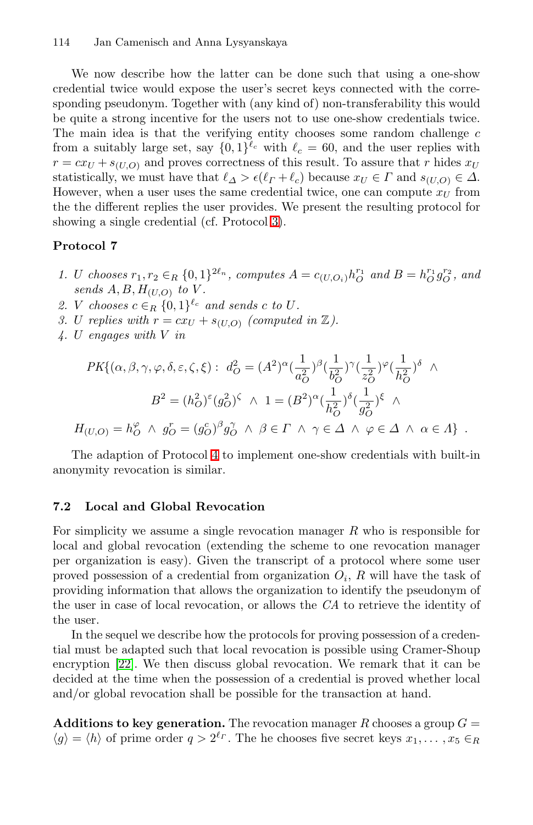<span id="page-21-0"></span>We now describe how the latter can be done such that using a one-show credential twice would expose the user's secret keys connected with the corresponding pseudonym. Together with (any kind of) non-transferability this would be quite a strong incentive for the users not to use one-show credentials twice. The main idea is that the verifying entity chooses some random challenge  $c$ from a suitably large set, say  $\{0,1\}^{\ell_c}$  with  $\ell_c = 60$ , and the user replies with  $r = cx_U + s_{(U,O)}$  and proves correctness of this result. To assure that r hides  $x_U$ statistically, we must have that  $\ell_{\Delta} > \epsilon(\ell_{\Gamma} + \ell_c)$  because  $x_U \in \Gamma$  and  $s_{(U,O)} \in \Delta$ . However, when a user uses the same credential twice, one can compute  $x_U$  from the the different replies the user provides. We present the resulting protocol for showing a single credential (cf. Protocol [3\)](#page-10-0).

# **Protocol 7**

- 1. U chooses  $r_1, r_2 \in_R \{0, 1\}^{2\ell_n}$ , computes  $A = c_{(U, O_i)} h_O^{r_1}$  and  $B = h_O^{r_1} g_O^{r_2}$ , and sends  $A, B, H<sub>(U,O)</sub>$  to V.
- 2. V chooses  $c \in_R \{0,1\}^{\ell_c}$  and sends c to U.
- 3. U replies with  $r = cx_U + s_{(U,O)}$  (computed in  $\mathbb{Z}$ ).
- 4. U engages with V in

$$
PK\{(\alpha, \beta, \gamma, \varphi, \delta, \varepsilon, \zeta, \xi): d_O^2 = (A^2)^{\alpha} \left(\frac{1}{a_O^2}\right)^{\beta} \left(\frac{1}{b_O^2}\right)^{\gamma} \left(\frac{1}{z_O^2}\right)^{\varphi} \left(\frac{1}{h_O^2}\right)^{\delta} \wedge
$$
  

$$
B^2 = (h_O^2)^{\varepsilon} (g_O^2)^{\zeta} \wedge 1 = (B^2)^{\alpha} \left(\frac{1}{h_O^2}\right)^{\delta} \left(\frac{1}{g_O^2}\right)^{\xi} \wedge
$$
  

$$
H_{(U,O)} = h_O^{\varphi} \wedge g_O^r = (g_O^c)^{\beta} g_O^{\gamma} \wedge \beta \in \Gamma \wedge \gamma \in \Delta \wedge \varphi \in \Delta \wedge \alpha \in \Lambda \}.
$$

The adaption of Protocol [4](#page-11-0) to implement one-show credentials with built-in anonymity revocation is similar.

# **7.2Local and Global Revocation**

For simplicity we assume a single revocation manager  $R$  who is responsible for local and global revocation (extending the scheme to one revocation manager per organization is easy). Given the transcript of a protocol where some user proved possession of a credential from organization  $O_i$ , R will have the task of providing information that allows the organization to identify the pseudonym of the user in case of local revocation, or allows the CA to retrieve the identity of the user.

In the sequel we describe how the protocols for proving possession of a credential must be adapted such that local revocation is possible using Cramer-Shoup encryption [\[22\]](#page-24-0). We then discuss global revocation. We remark that it can be decided at the time when the possession of a credential is proved whether local and/or global revocation shall be possible for the transaction at hand.

**Additions to key generation.** The revocation manager R chooses a group  $G =$  $\langle g \rangle = \langle h \rangle$  of prime order  $q > 2^{\ell_r}$ . The he chooses five secret keys  $x_1, \ldots, x_5 \in_R$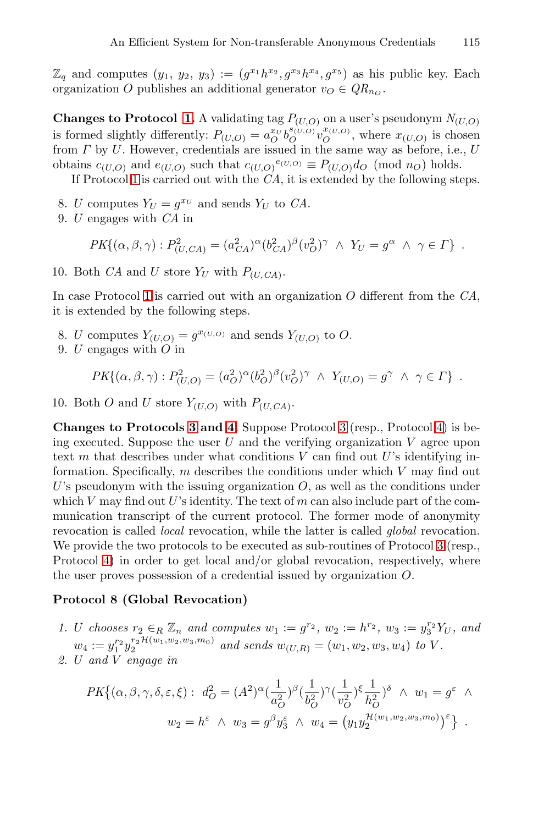<span id="page-22-0"></span> $\mathbb{Z}_q$  and computes  $(y_1, y_2, y_3):=(g^{x_1}h^{x_2}, g^{x_3}h^{x_4}, g^{x_5})$  as his public key. Each organization O publishes an additional generator  $v_O \in QR_{no}$ .

**Changes to Protocol [1.](#page-9-0)** A validating tag  $P_{(U,O)}$  on a user's pseudonym  $N_{(U,O)}$ is formed slightly differently:  $P_{(U,O)} = a_O^{x_U} b_O^{s_{(U,O)}} v_O^{x_{(U,O)}}$ , where  $x_{(U,O)}$  is chosen from  $\Gamma$  by  $U$ . However, credentials are issued in the same way as before, i.e.,  $U$ obtains  $c_{(U,O)}$  and  $e_{(U,O)}$  such that  $c_{(U,O)}e^{(U,O)} \equiv P_{(U,O)}d_O$  (mod  $n_O$ ) holds.

If Protocol [1](#page-9-0) is carried out with the CA, it is extended by the following steps.

- 8. U computes  $Y_U = g^{x_U}$  and sends  $Y_U$  to CA.
- 9. U engages with CA in

$$
PK\{(\alpha,\beta,\gamma): P^2_{(U,CA)} = (a^2_{CA})^{\alpha} (b^2_{CA})^{\beta} (v^2_C)^{\gamma} \wedge Y_U = g^{\alpha} \wedge \gamma \in \Gamma \} .
$$

10. Both *CA* and *U* store  $Y_U$  with  $P_{(U, CA)}$ .

In case Protocol [1](#page-9-0) is carried out with an organization  $O$  different from the  $CA$ , it is extended by the following steps.

- 8. U computes  $Y_{(U,O)} = g^{x_{(U,O)}}$  and sends  $Y_{(U,O)}$  to O.
- 9. U engages with O in

$$
PK\{(\alpha,\beta,\gamma): P^2_{(U,O)} = (a_O^2)^{\alpha} (b_O^2)^{\beta} (v_O^2)^{\gamma} \ \wedge \ Y_{(U,O)} = g^{\gamma} \ \wedge \ \gamma \in \Gamma \} .
$$

10. Both O and U store  $Y_{(U,O)}$  with  $P_{(U,CA)}$ .

**Changes to Protocols [3](#page-10-0) and [4.](#page-11-0)** Suppose Protocol 3 (resp., Protocol [4\)](#page-11-0) is being executed. Suppose the user U and the verifying organization V agree upon text m that describes under what conditions  $V$  can find out  $U$ 's identifying information. Specifically, m describes the conditions under which  $V$  may find out U's pseudonym with the issuing organization  $O$ , as well as the conditions under which V may find out U's identity. The text of m can also include part of the communication transcript of the current protocol. The former mode of anonymity revocation is called *local* revocation, while the latter is called *global* revocation. We provide the two protocols to be executed as sub-routines of Protocol [3](#page-10-0) (resp., Protocol [4\)](#page-11-0) in order to get local and/or global revocation, respectively, where the user proves possession of a credential issued by organization O.

### **Protocol 8 (Global Revocation)**

- 1. U chooses  $r_2 \in_R \mathbb{Z}_n$  and computes  $w_1 := g^{r_2}, w_2 := h^{r_2}, w_3 := y_3^{r_2} Y_U$ , and  $w_4 := y_1^{r_2} y_2^{r_2 \mathcal{H}(w_1, w_2, w_3, m_0)}$  and sends  $w_{(U,R)} = (w_1, w_2, w_3, w_4)$  to V.
- 2. U and V engage in

$$
PK\{(\alpha, \beta, \gamma, \delta, \varepsilon, \xi): d_O^2 = (A^2)^{\alpha} (\frac{1}{a_O^2})^{\beta} (\frac{1}{b_O^2})^{\gamma} (\frac{1}{v_O^2})^{\xi} \frac{1}{h_O^2})^{\delta} \wedge w_1 = g^{\varepsilon} \wedge w_2 = h^{\varepsilon} \wedge w_3 = g^{\beta} y_3^{\varepsilon} \wedge w_4 = (y_1 y_2^{\mathcal{H}(w_1, w_2, w_3, m_0)})^{\varepsilon} \}.
$$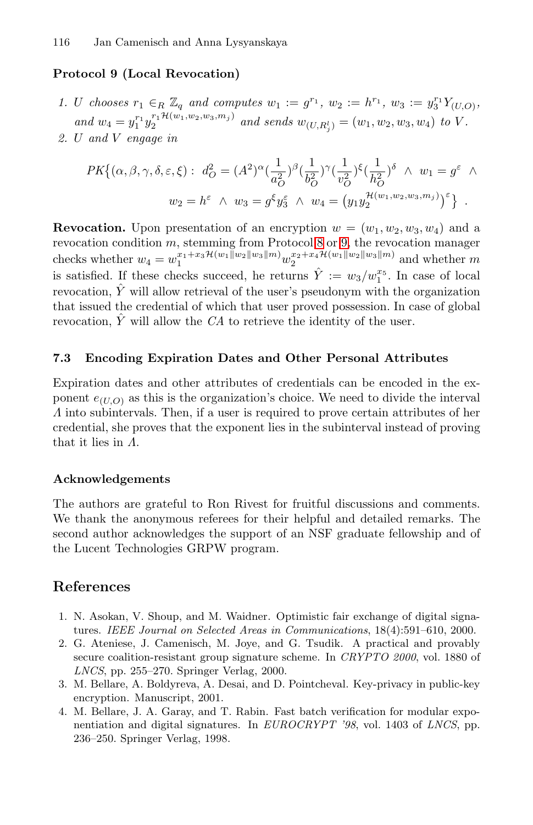# <span id="page-23-0"></span>**Protocol 9 (Local Revocation)**

- 1. U chooses  $r_1 \in_R \mathbb{Z}_q$  and computes  $w_1 := g^{r_1}, w_2 := h^{r_1}, w_3 := y_3^{r_1} Y_{(U,O)}$ , and  $w_4 = y_1^{r_1} y_2^{r_1 \mathcal{H}(w_1, w_2, w_3, m_j)}$  and sends  $w_{(U, R_j^l)} = (w_1, w_2, w_3, w_4)$  to V.
- 2. U and V engage in

$$
PK\{(\alpha, \beta, \gamma, \delta, \varepsilon, \xi): d_O^2 = (A^2)^{\alpha} (\frac{1}{a_O^2})^{\beta} (\frac{1}{b_O^2})^{\gamma} (\frac{1}{v_O^2})^{\xi} (\frac{1}{h_O^2})^{\delta} \wedge w_1 = g^{\varepsilon} \wedge w_2 = h^{\varepsilon} \wedge w_3 = g^{\varepsilon} y_3^{\varepsilon} \wedge w_4 = (y_1 y_2^{\mathcal{H}(w_1, w_2, w_3, m_j)})^{\varepsilon}\}.
$$

**Revocation.** Upon presentation of an encryption  $w = (w_1, w_2, w_3, w_4)$  and a revocation condition m, stemming from Protocol [8](#page-22-0) or [9,](#page-22-0) the revocation manager checks whether  $w_4 = w_1^{x_1+x_3\mathcal{H}(w_1||w_2||w_3||m)} w_2^{x_2+x_4\mathcal{H}(w_1||w_2||w_3||m)}$  and whether m is satisfied. If these checks succeed, he returns  $\hat{Y} := w_3/w_1^{x_5}$ . In case of local revocation,  $\hat{Y}$  will allow retrieval of the user's pseudonym with the organization that issued the credential of which that user proved possession. In case of global revocation,  $\hat{Y}$  will allow the CA to retrieve the identity of the user.

### **7.3 Encoding Expiration Dates and Other Personal Attributes**

Expiration dates and other attributes of credentials can be encoded in the exponent  $e_{(U,O)}$  as this is the organization's choice. We need to divide the interval  $\Lambda$  into subintervals. Then, if a user is required to prove certain attributes of her credential, she proves that the exponent lies in the subinterval instead of proving that it lies in Λ.

# **Acknowledgements**

The authors are grateful to Ron Rivest for fruitful discussions and comments. We thank the anonymous referees for their helpful and detailed remarks. The second author acknowledges the support of an NSF graduate fellowship and of the Lucent Technologies GRPW program.

# **References**

- 1. N. Asokan, V. Shoup, and M. Waidner. Optimistic fair exchange of digital signatures. IEEE Journal on Selected Areas in Communications, 18(4):591–610, 2000.
- 2. G. Ateniese, J. Camenisch, M. Joye, and G. Tsudik. A practical and provably secure coalition-resistant group signature scheme. In CRYPTO 2000, vol. 1880 of LNCS, pp. 255–270. Springer Verlag, 2000.
- 3. M. Bellare, A. Boldyreva, A. Desai, and D. Pointcheval. Key-privacy in public-key encryption. Manuscript, 2001.
- 4. M. Bellare, J. A. Garay, and T. Rabin. Fast batch verification for modular exponentiation and digital signatures. In EUROCRYPT '98, vol. 1403 of LNCS, pp. 236–250. Springer Verlag, 1998.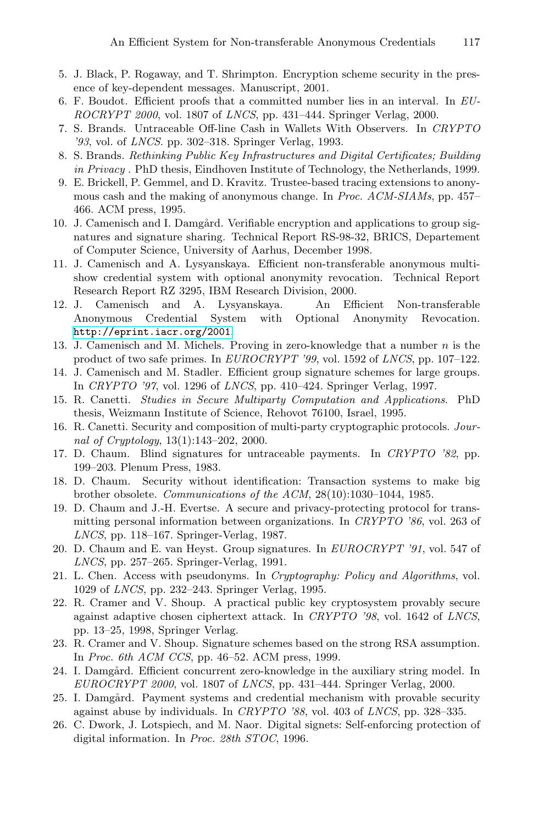- <span id="page-24-0"></span>5. J. Black, P. Rogaway, and T. Shrimpton. Encryption scheme security in the presence of key-dependent messages. Manuscript, 2001.
- 6. F. Boudot. Efficient proofs that a committed number lies in an interval. In EU-ROCRYPT 2000, vol. 1807 of LNCS, pp. 431-444. Springer Verlag, 2000.
- 7. S. Brands. Untraceable Off-line Cash in Wallets With Observers. In CRYPTO '93, vol. of LNCS. pp. 302–318. Springer Verlag, 1993.
- 8. S. Brands. Rethinking Public Key Infrastructures and Digital Certificates; Building in Privacy . PhD thesis, Eindhoven Institute of Technology, the Netherlands, 1999.
- 9. E. Brickell, P. Gemmel, and D. Kravitz. Trustee-based tracing extensions to anonymous cash and the making of anonymous change. In Proc. ACM-SIAMs, pp. 457– 466. ACM press, 1995.
- 10. J. Camenisch and I. Damgård. Verifiable encryption and applications to group signatures and signature sharing. Technical Report RS-98-32, BRICS, Departement of Computer Science, University of Aarhus, December 1998.
- 11. J. Camenisch and A. Lysyanskaya. Efficient non-transferable anonymous multishow credential system with optional anonymity revocation. Technical Report Research Report RZ 3295, IBM Research Division, 2000.
- 12. J. Camenisch and A. Lysyanskaya. An Efficient Non-transferable Anonymous Credential System with Optional Anonymity Revocation. <http://eprint.iacr.org/2001>.
- 13. J. Camenisch and M. Michels. Proving in zero-knowledge that a number  $n$  is the product of two safe primes. In EUROCRYPT '99, vol. 1592 of LNCS, pp. 107-122.
- 14. J. Camenisch and M. Stadler. Efficient group signature schemes for large groups. In CRYPTO '97, vol. 1296 of LNCS, pp. 410–424. Springer Verlag, 1997.
- 15. R. Canetti. Studies in Secure Multiparty Computation and Applications. PhD thesis, Weizmann Institute of Science, Rehovot 76100, Israel, 1995.
- 16. R. Canetti. Security and composition of multi-party cryptographic protocols. Journal of Cryptology, 13(1):143–202, 2000.
- 17. D. Chaum. Blind signatures for untraceable payments. In CRYPTO '82, pp. 199–203. Plenum Press, 1983.
- 18. D. Chaum. Security without identification: Transaction systems to make big brother obsolete. Communications of the ACM, 28(10):1030–1044, 1985.
- 19. D. Chaum and J.-H. Evertse. A secure and privacy-protecting protocol for transmitting personal information between organizations. In CRYPTO '86, vol. 263 of LNCS, pp. 118–167. Springer-Verlag, 1987.
- 20. D. Chaum and E. van Heyst. Group signatures. In EUROCRYPT '91, vol. 547 of LNCS, pp. 257–265. Springer-Verlag, 1991.
- 21. L. Chen. Access with pseudonyms. In Cryptography: Policy and Algorithms, vol. 1029 of LNCS, pp. 232–243. Springer Verlag, 1995.
- 22. R. Cramer and V. Shoup. A practical public key cryptosystem provably secure against adaptive chosen ciphertext attack. In CRYPTO '98, vol. 1642 of LNCS, pp. 13–25, 1998, Springer Verlag.
- 23. R. Cramer and V. Shoup. Signature schemes based on the strong RSA assumption. In Proc. 6th ACM CCS, pp. 46–52. ACM press, 1999.
- 24. I. Damgård. Efficient concurrent zero-knowledge in the auxiliary string model. In  $EUROCRYPT 2000$ , vol. 1807 of  $LNCS$ , pp. 431–444. Springer Verlag, 2000.
- 25. I. Damgård. Payment systems and credential mechanism with provable security against abuse by individuals. In CRYPTO '88, vol. 403 of LNCS, pp. 328–335.
- 26. C. Dwork, J. Lotspiech, and M. Naor. Digital signets: Self-enforcing protection of digital information. In Proc. 28th STOC, 1996.